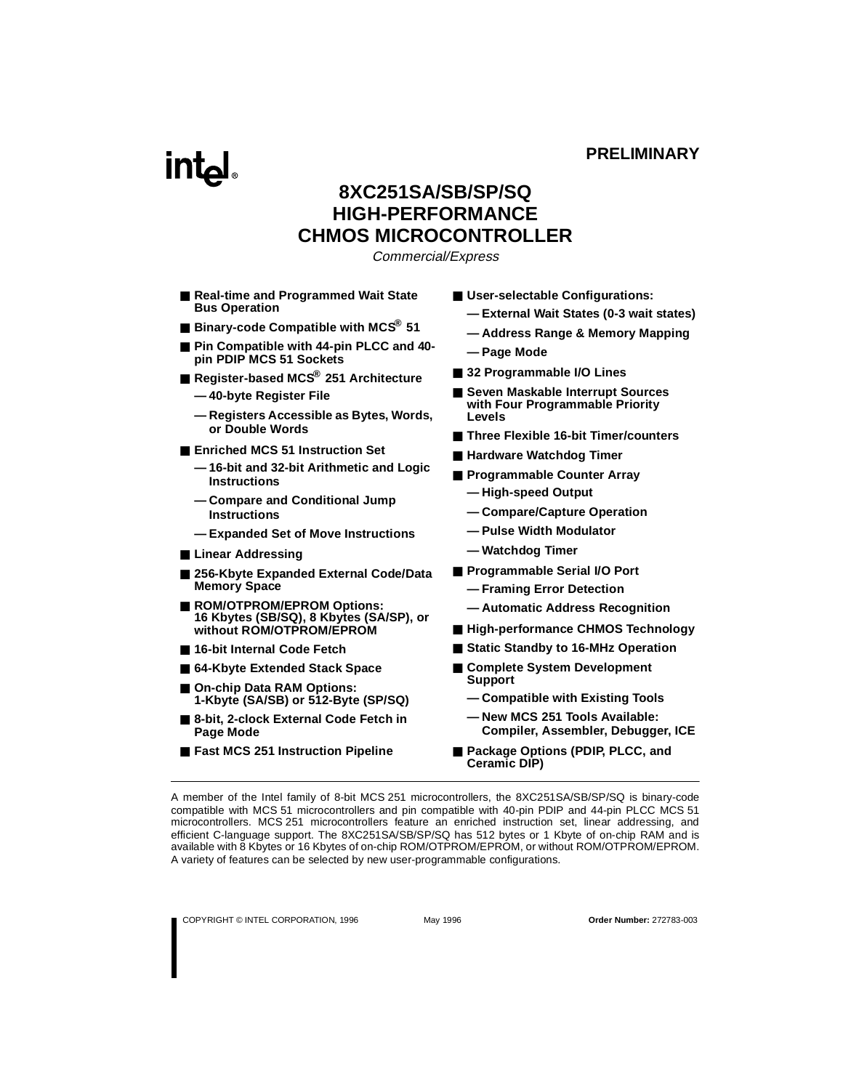# **intal**

# **8XC251SA/SB/SP/SQ HIGH-PERFORMANCE CHMOS MICROCONTROLLER**

Commercial/Express

- **Real-time and Programmed Wait State Bus Operation**
- **Binary-code Compatible with MCS<sup>®</sup> 51**
- Pin Compatible with 44-pin PLCC and 40**pin PDIP MCS 51 Sockets**
- **Register-based MCS® 251 Architecture**
	- **40-byte Register File**
	- **Registers Accessible as Bytes, Words, or Double Words**
- **Enriched MCS 51 Instruction Set** 
	- **16-bit and 32-bit Arithmetic and Logic Instructions**
	- **Compare and Conditional Jump Instructions**
	- **Expanded Set of Move Instructions**
- Linear Addressing
- 256-Kbyte Expanded External Code/Data **Memory Space**
- **ROM/OTPROM/EPROM Options: 16 Kbytes (SB/SQ), 8 Kbytes (SA/SP), or without ROM/OTPROM/EPROM**
- 16-bit Internal Code Fetch
- 64-Kbyte Extended Stack Space
- On-chip Data RAM Options: **1-Kbyte (SA/SB) or 512-Byte (SP/SQ)**
- 8-bit, 2-clock External Code Fetch in **Page Mode**
- **Fast MCS 251 Instruction Pipeline**
- User-selectable Configurations:
	- **External Wait States (0-3 wait states)**
	- **Address Range & Memory Mapping**
	- **Page Mode**
- 32 Programmable I/O Lines
- Seven Maskable Interrupt Sources **with Four Programmable Priority Levels**
- **Three Flexible 16-bit Timer/counters**
- **Hardware Watchdog Timer**
- **Programmable Counter Array** 
	- **High-speed Output**
	- **Compare/Capture Operation**
	- **Pulse Width Modulator**
	- **Watchdog Timer**
- **Programmable Serial I/O Port** 
	- **Framing Error Detection**
	- **Automatic Address Recognition**
- **High-performance CHMOS Technology**
- Static Standby to 16-MHz Operation
- Complete System Development **Support**
	- **Compatible with Existing Tools**
	- **New MCS 251 Tools Available: Compiler, Assembler, Debugger, ICE**
- **Package Options (PDIP, PLCC, and Ceramic DIP)**

A member of the Intel family of 8-bit MCS 251 microcontrollers, the 8XC251SA/SB/SP/SQ is binary-code compatible with MCS 51 microcontrollers and pin compatible with 40-pin PDIP and 44-pin PLCC MCS 51 microcontrollers. MCS 251 microcontrollers feature an enriched instruction set, linear addressing, and efficient C-language support. The 8XC251SA/SB/SP/SQ has 512 bytes or 1 Kbyte of on-chip RAM and is available with 8 Kbytes or 16 Kbytes of on-chip ROM/OTPROM/EPROM, or without ROM/OTPROM/EPROM. A variety of features can be selected by new user-programmable configurations.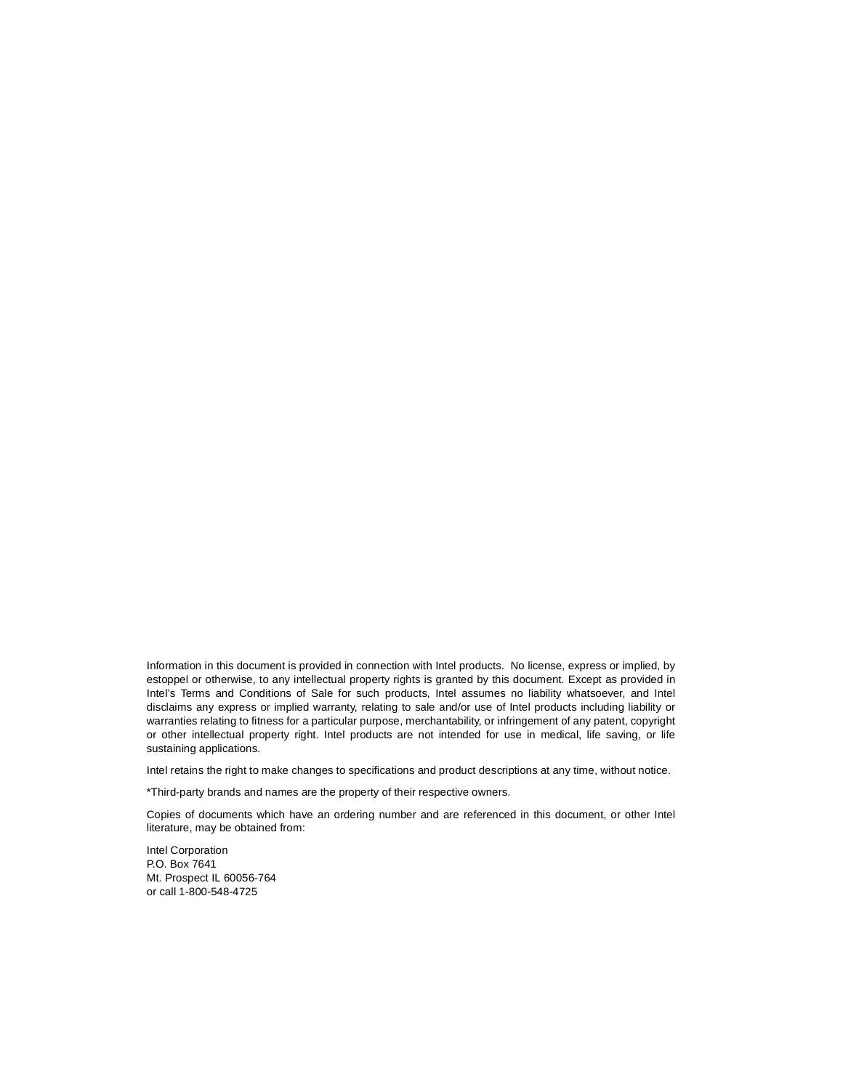Information in this document is provided in connection with Intel products. No license, express or implied, by estoppel or otherwise, to any intellectual property rights is granted by this document. Except as provided in Intel's Terms and Conditions of Sale for such products, Intel assumes no liability whatsoever, and Intel disclaims any express or implied warranty, relating to sale and/or use of Intel products including liability or warranties relating to fitness for a particular purpose, merchantability, or infringement of any patent, copyright or other intellectual property right. Intel products are not intended for use in medical, life saving, or life sustaining applications.

Intel retains the right to make changes to specifications and product descriptions at any time, without notice.

\*Third-party brands and names are the property of their respective owners.

Copies of documents which have an ordering number and are referenced in this document, or other Intel literature, may be obtained from:

Intel Corporation P.O. Box 7641 Mt. Prospect IL 60056-764 or call 1-800-548-4725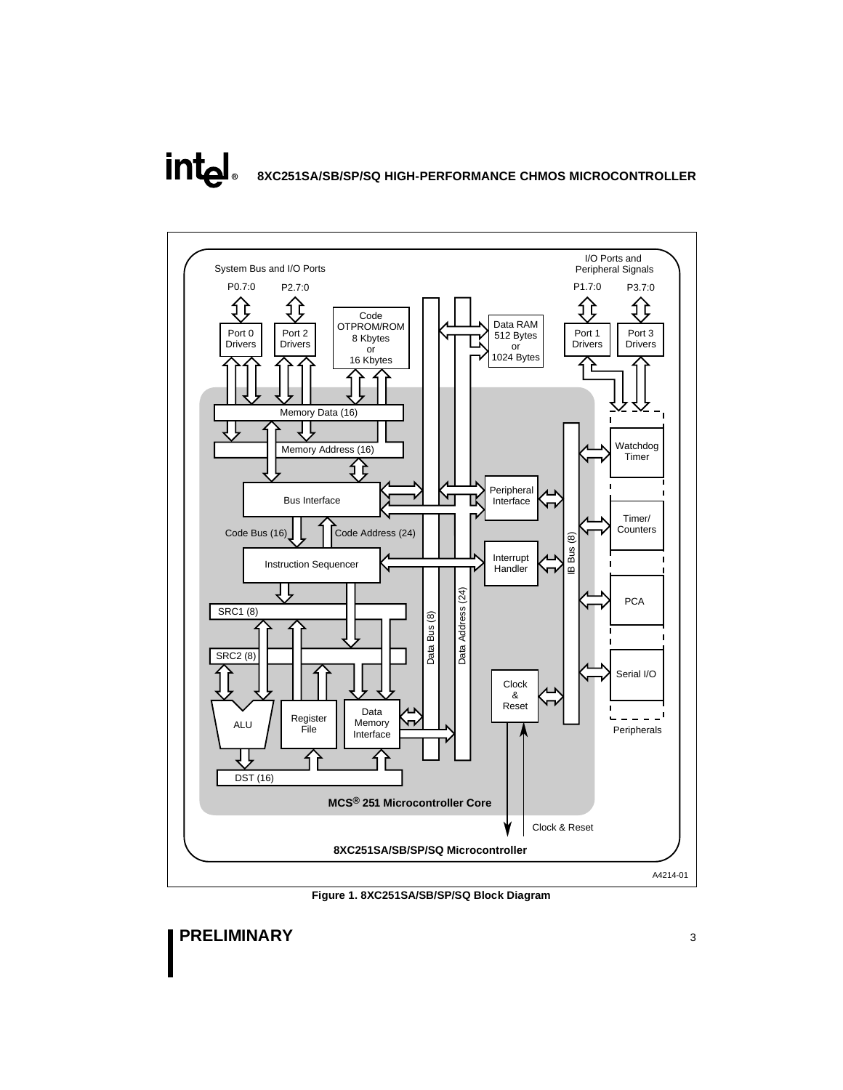# **intal 8XC251SA/SB/SP/SQ HIGH-PERFORMANCE CHMOS MICROCONTROLLER**



**Figure 1. 8XC251SA/SB/SP/SQ Block Diagram**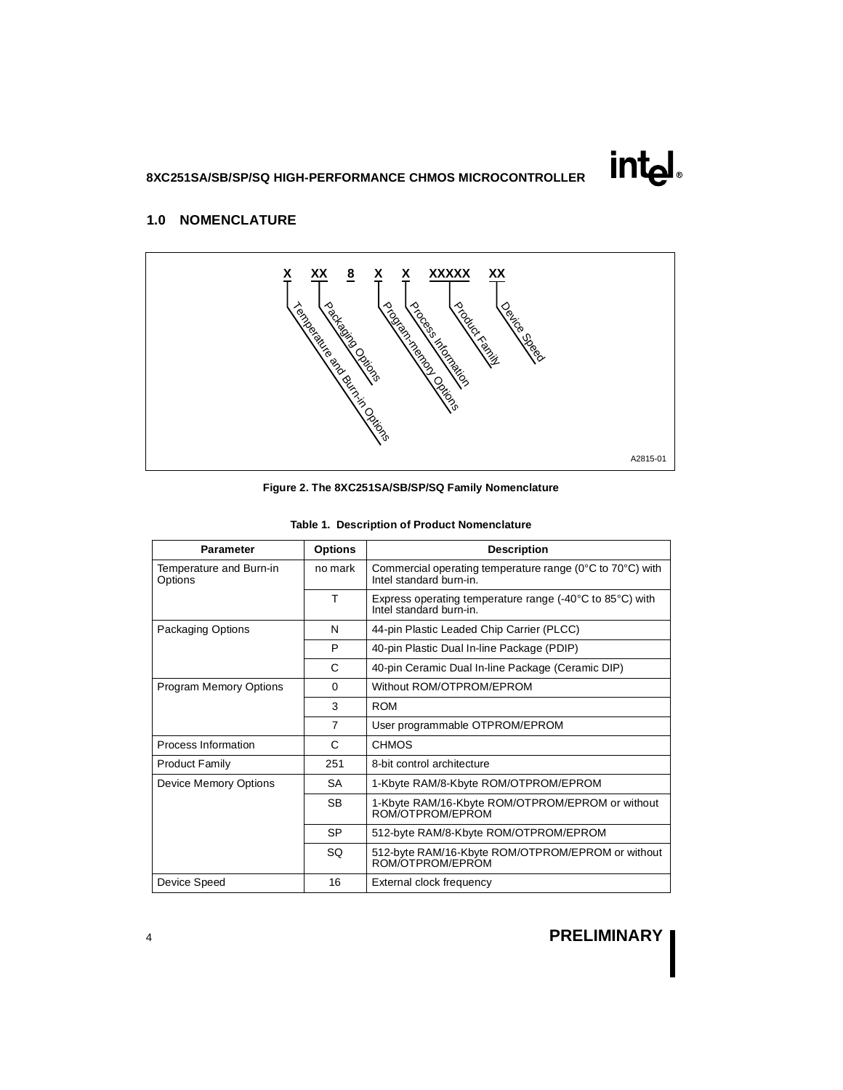# intd.

## <span id="page-3-0"></span>**1.0 NOMENCLATURE**



| <b>Parameter</b>                   | <b>Options</b> | <b>Description</b>                                                                                       |
|------------------------------------|----------------|----------------------------------------------------------------------------------------------------------|
| Temperature and Burn-in<br>Options | no mark        | Commercial operating temperature range (0°C to 70°C) with<br>Intel standard burn-in.                     |
|                                    | т              | Express operating temperature range $(-40^{\circ}$ C to 85 $^{\circ}$ C) with<br>Intel standard burn-in. |
| Packaging Options                  | N              | 44-pin Plastic Leaded Chip Carrier (PLCC)                                                                |
|                                    | P              | 40-pin Plastic Dual In-line Package (PDIP)                                                               |
|                                    | C              | 40-pin Ceramic Dual In-line Package (Ceramic DIP)                                                        |
| <b>Program Memory Options</b>      | $\Omega$       | Without ROM/OTPROM/EPROM                                                                                 |
|                                    | 3              | <b>ROM</b>                                                                                               |
|                                    | $\overline{7}$ | User programmable OTPROM/EPROM                                                                           |
| Process Information                | C              | <b>CHMOS</b>                                                                                             |
| <b>Product Family</b>              | 251            | 8-bit control architecture                                                                               |
| <b>Device Memory Options</b>       | <b>SA</b>      | 1-Kbyte RAM/8-Kbyte ROM/OTPROM/EPROM                                                                     |
|                                    | <b>SB</b>      | 1-Kbyte RAM/16-Kbyte ROM/OTPROM/EPROM or without<br>ROM/OTPROM/EPROM                                     |
|                                    | <b>SP</b>      | 512-byte RAM/8-Kbyte ROM/OTPROM/EPROM                                                                    |
|                                    | SQ             | 512-byte RAM/16-Kbyte ROM/OTPROM/EPROM or without<br>ROM/OTPROM/EPROM                                    |
| Device Speed                       | 16             | External clock frequency                                                                                 |

**Table 1. Description of Product Nomenclature**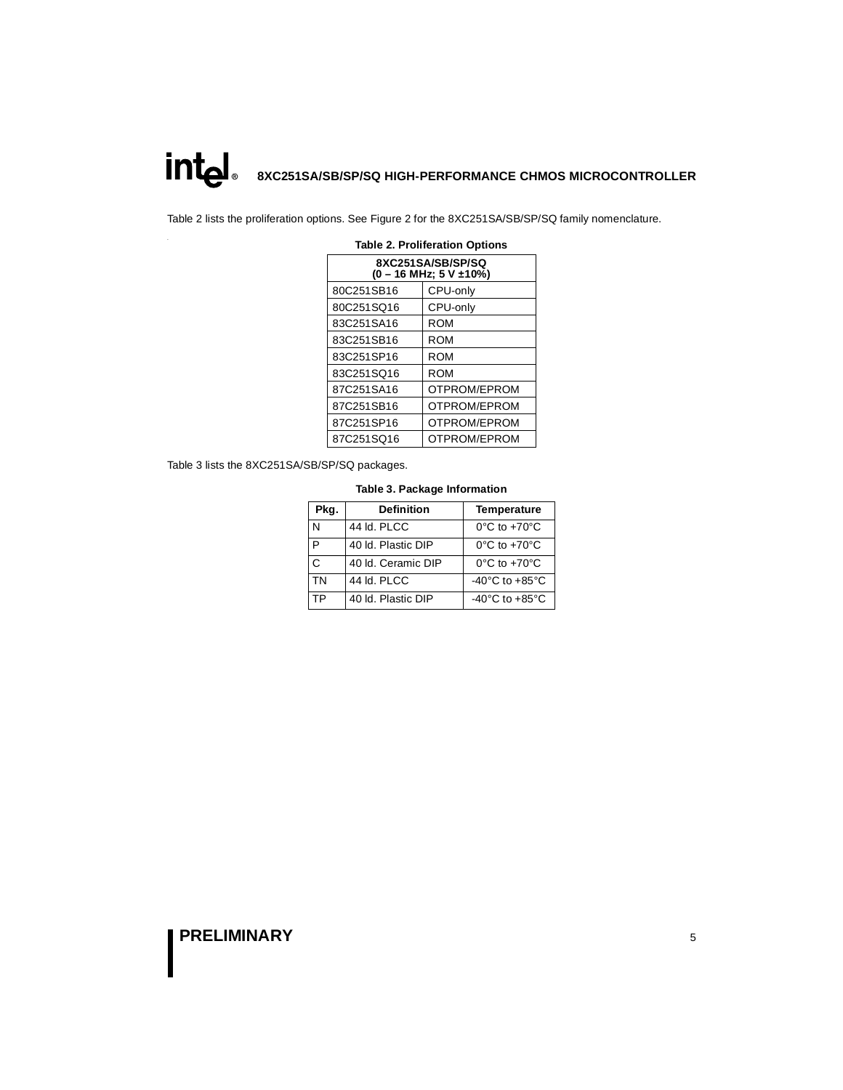**8XC251SA/SB/SP/SQ HIGH-PERFORMANCE CHMOS MICROCONTROLLER**

Table 2 lists the proliferation options. See [Figure 2](#page-3-0) for the 8XC251SA/SB/SP/SQ family nomenclature.

| 8XC251SA/SB/SP/SQ<br>$(0 - 16$ MHz; $5$ V $\pm 10\%$ ) |              |  |  |  |  |  |
|--------------------------------------------------------|--------------|--|--|--|--|--|
| 80C251SB16                                             | CPU-only     |  |  |  |  |  |
| 80C251SQ16                                             | CPU-only     |  |  |  |  |  |
| 83C251SA16                                             | ROM          |  |  |  |  |  |
| 83C251SB16                                             | ROM          |  |  |  |  |  |
| 83C251SP16                                             | ROM          |  |  |  |  |  |
| 83C251SQ16                                             | ROM          |  |  |  |  |  |
| 87C251SA16                                             | OTPROM/EPROM |  |  |  |  |  |
| 87C251SB16                                             | OTPROM/EPROM |  |  |  |  |  |
| 87C251SP16                                             | OTPROM/EPROM |  |  |  |  |  |
| 87C251SQ16                                             | OTPROM/EPROM |  |  |  |  |  |

#### **Table 2. Proliferation Options**

Table 3 lists the 8XC251SA/SB/SP/SQ packages.

#### **Table 3. Package Information**

| Pkg. | <b>Definition</b>  | <b>Temperature</b>                   |
|------|--------------------|--------------------------------------|
| N    | 44 Id. PLCC        | $0^{\circ}$ C to $+70^{\circ}$ C     |
| P    | 40 Id. Plastic DIP | $0^{\circ}$ C to +70 $^{\circ}$ C    |
| C    | 40 ld. Ceramic DIP | $0^{\circ}$ C to $+70^{\circ}$ C     |
| TN   | 44 Id. PLCC        | -40 $^{\circ}$ C to +85 $^{\circ}$ C |
| ТP   | 40 Id. Plastic DIP | -40 $^{\circ}$ C to +85 $^{\circ}$ C |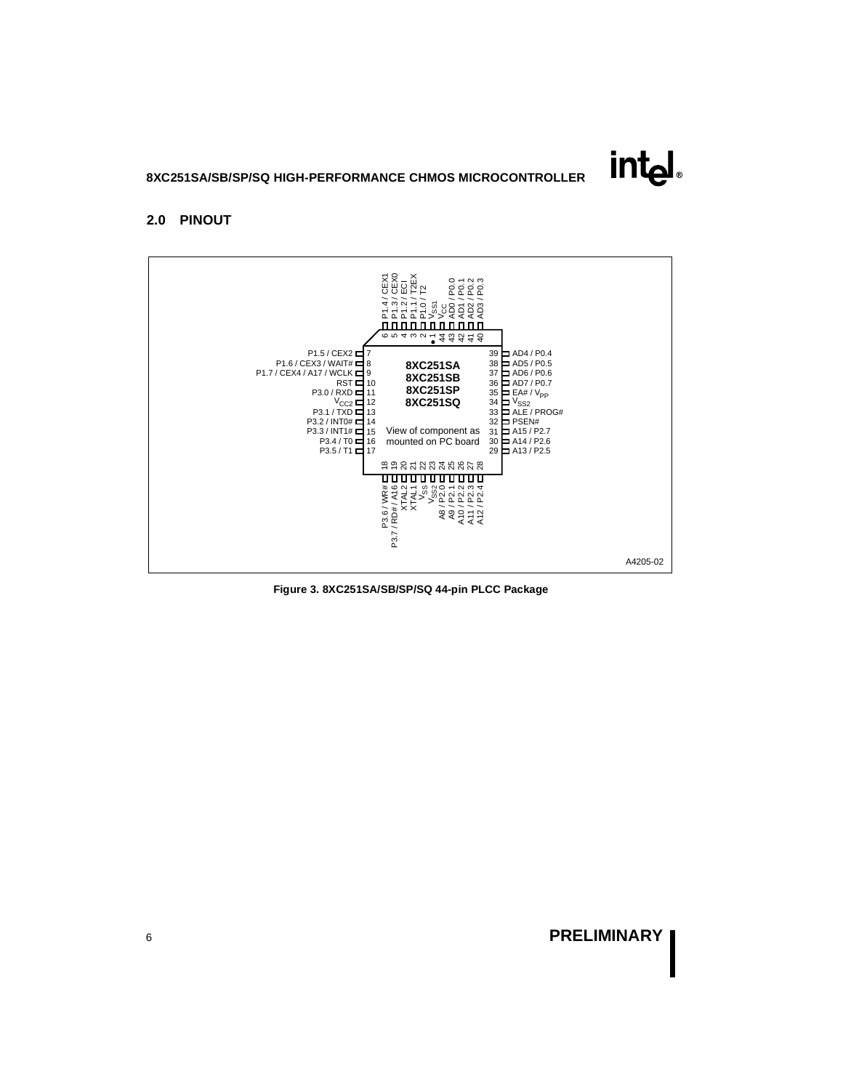### **2.0 PINOUT**



**Figure 3. 8XC251SA/SB/SP/SQ 44-pin PLCC Package**

intهi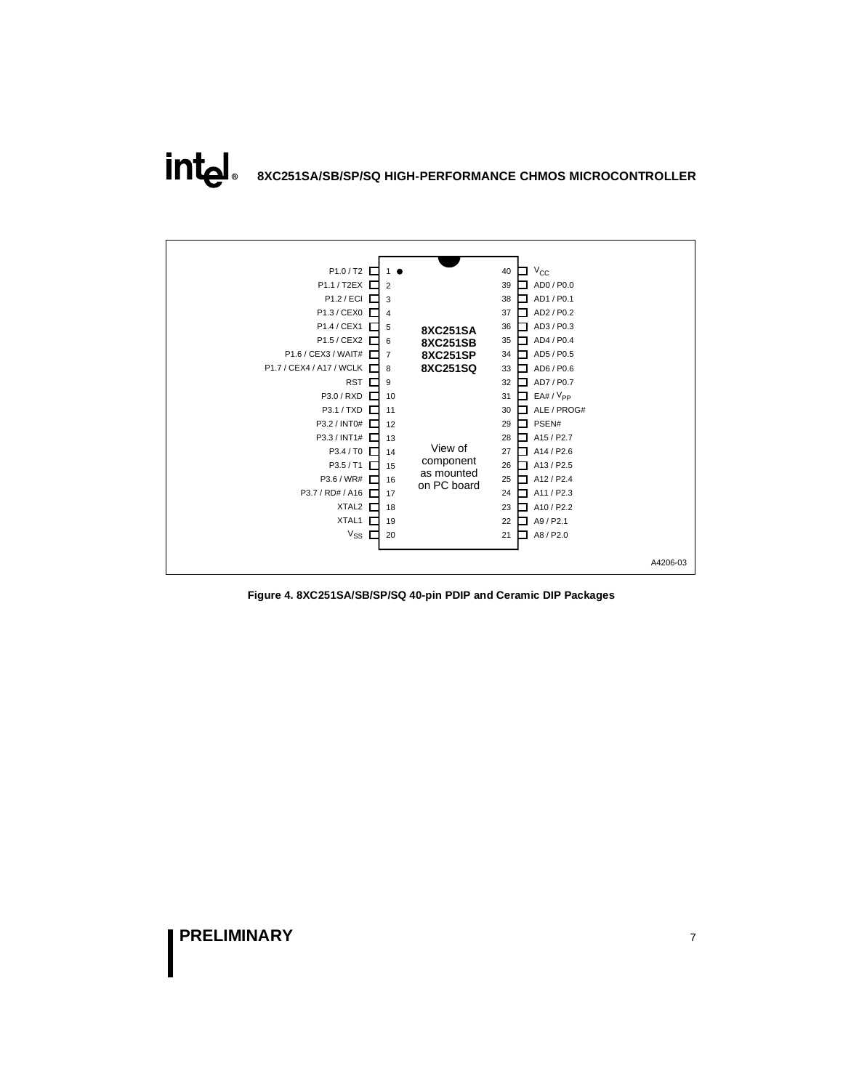**intal 8XC251SA/SB/SP/SQ HIGH-PERFORMANCE CHMOS MICROCONTROLLER**



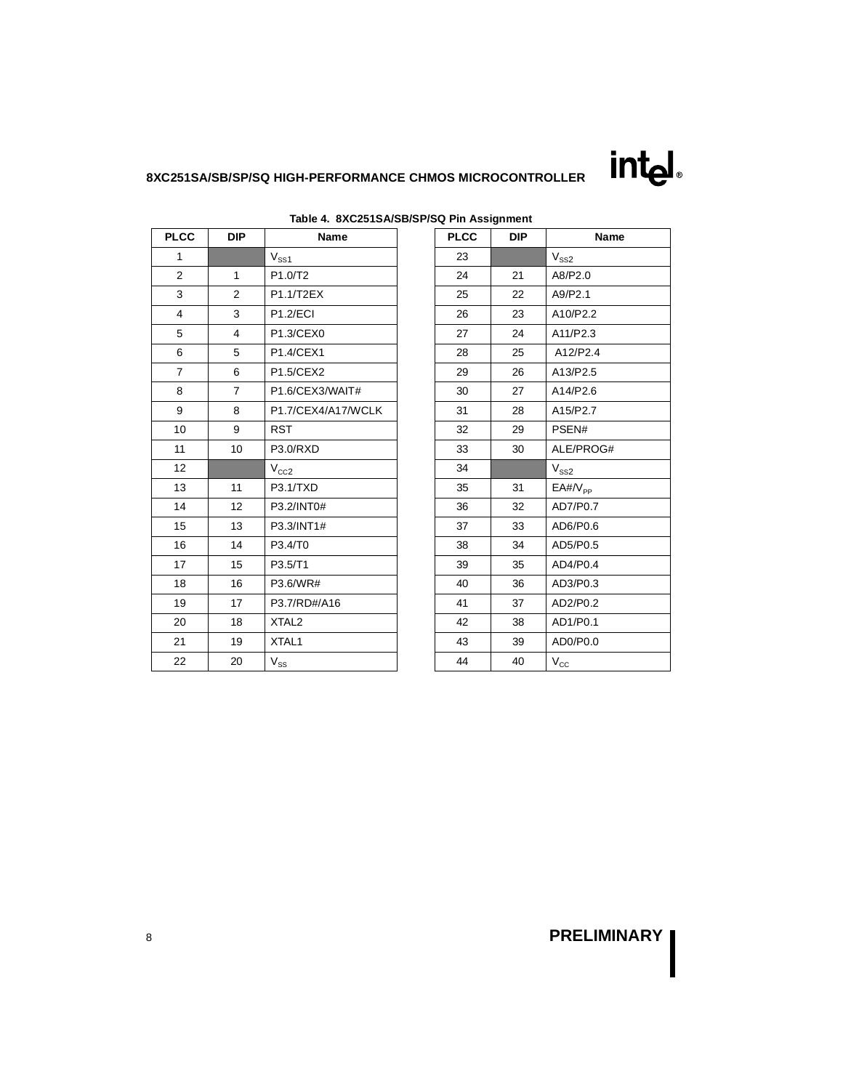

| <b>PLCC</b>    | <b>DIP</b>     | Name               | <b>PLCC</b> | <b>DIP</b> | Name                    |
|----------------|----------------|--------------------|-------------|------------|-------------------------|
| $\mathbf{1}$   |                | $V_{SS1}$          | 23          |            | $V_{SS2}$               |
| $\overline{2}$ | $\mathbf{1}$   | P1.0/T2            | 24          | 21         | A8/P2.0                 |
| 3              | 2              | P1.1/T2EX          | 25          | 22         | A9/P2.1                 |
| $\overline{4}$ | 3              | <b>P1.2/ECI</b>    | 26          | 23         | A10/P2.2                |
| 5              | $\overline{4}$ | P1.3/CEX0          | 27          | 24         | A11/P2.3                |
| 6              | 5              | P1.4/CEX1          | 28          | 25         | A12/P2.4                |
| $\overline{7}$ | 6              | P1.5/CEX2          | 29          | 26         | A13/P2.5                |
| 8              | $\overline{7}$ | P1.6/CEX3/WAIT#    | 30          | 27         | A14/P2.6                |
| 9              | 8              | P1.7/CEX4/A17/WCLK | 31          | 28         | A15/P2.7                |
| 10             | 9              | <b>RST</b>         | 32          | 29         | PSEN#                   |
| 11             | 10             | P3.0/RXD           | 33          | 30         | ALE/PROG#               |
| 12             |                | $V_{CC2}$          | 34          |            | $V_{SS2}$               |
| 13             | 11             | P3.1/TXD           | 35          | 31         | $E$ A#/ $V_{\text{PP}}$ |
| 14             | 12             | P3.2/INT0#         | 36          | 32         | AD7/P0.7                |
| 15             | 13             | P3.3/INT1#         | 37          | 33         | AD6/P0.6                |
| 16             | 14             | P3.4/T0            | 38          | 34         | AD5/P0.5                |
| 17             | 15             | P3.5/T1            | 39          | 35         | AD4/P0.4                |
| 18             | 16             | P3.6/WR#           | 40          | 36         | AD3/P0.3                |
| 19             | 17             | P3.7/RD#/A16       | 41          | 37         | AD2/P0.2                |
| 20             | 18             | XTAL <sub>2</sub>  | 42          | 38         | AD1/P0.1                |
| 21             | 19             | XTAL1              | 43          | 39         | AD0/P0.0                |
| 22             | 20             | $V_{SS}$           | 44          | 40         | $V_{\rm CC}$            |

### **Table 4. 8XC251SA/SB/SP/SQ Pin Assignment**

| ∖Q PIN ASSIGNMENt<br><b>PLCC</b> | <b>DIP</b> | Name             |
|----------------------------------|------------|------------------|
|                                  |            |                  |
| 23                               |            | $\rm V_{SS2}$    |
| 24                               | 21         | A8/P2.0          |
| 25                               | 22         | A9/P2.1          |
| 26                               | 23         | A10/P2.2         |
| 27                               | 24         | A11/P2.3         |
| 28                               | 25         | A12/P2.4         |
| 29                               | 26         | A13/P2.5         |
| 30                               | 27         | A14/P2.6         |
| 31                               | 28         | A15/P2.7         |
| 32                               | 29         | PSEN#            |
| 33                               | 30         | ALE/PROG#        |
| 34                               |            | $V_{SS2}$        |
| 35                               | 31         | $E$ A#/ $V_{PP}$ |
| 36                               | 32         | AD7/P0.7         |
| 37                               | 33         | AD6/P0.6         |
| 38                               | 34         | AD5/P0.5         |
| 39                               | 35         | AD4/P0.4         |
| 40                               | 36         | AD3/P0.3         |
| 41                               | 37         | AD2/P0.2         |
| 42                               | 38         | AD1/P0.1         |
| 43                               | 39         | AD0/P0.0         |
| 44                               | 40         | $V_{\rm CC}$     |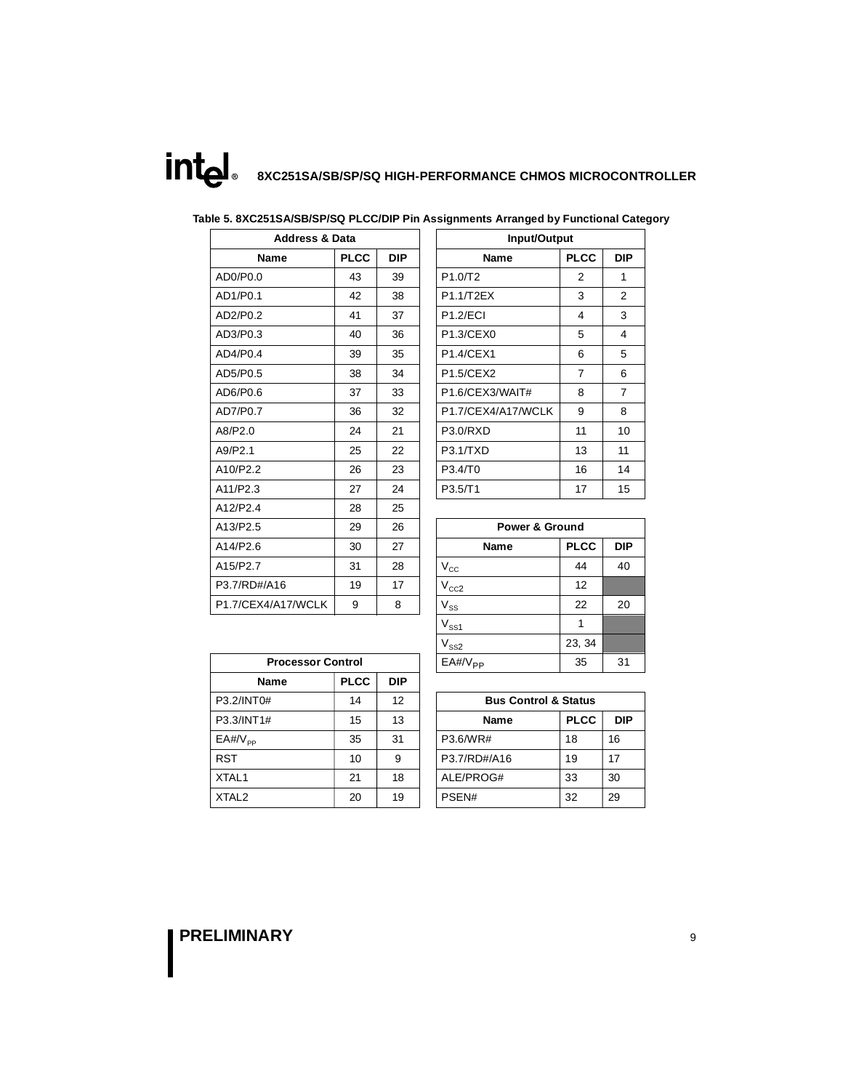intel **8XC251SA/SB/SP/SQ HIGH-PERFORMANCE CHMOS MICROCONTROLLER**

### **Table 5. 8XC251SA/SB/SP/SQ PLCC/DIP Pin Assignments Arranged by Functional Category**

| <b>Address &amp; Data</b> |             |            | Input/Output              |                |                |
|---------------------------|-------------|------------|---------------------------|----------------|----------------|
| <b>Name</b>               | <b>PLCC</b> | <b>DIP</b> | <b>Name</b>               | <b>PLCC</b>    | <b>DIP</b>     |
| AD0/P0.0                  | 43          | 39         | P1.0/T2                   | $\overline{2}$ | $\mathbf{1}$   |
| AD1/P0.1                  | 42          | 38         | P1.1/T2EX                 | 3              | 2              |
| AD2/P0.2                  | 41          | 37         | <b>P1.2/ECI</b>           | 4              | 3              |
| AD3/P0.3                  | 40          | 36         | P1.3/CEX0                 | 5              | $\overline{4}$ |
| AD4/P0.4                  | 39          | 35         | <b>P1.4/CEX1</b>          | 6              | 5              |
| AD5/P0.5                  | 38          | 34         | P1.5/CEX2                 | $\overline{7}$ | 6              |
| AD6/P0.6                  | 37          | 33         | P1.6/CEX3/WAIT#           | 8              | $\overline{7}$ |
| AD7/P0.7                  | 36          | 32         | P1.7/CEX4/A17/WCLK        | 9              | 8              |
| A8/P2.0                   | 24          | 21         | <b>P3.0/RXD</b>           | 11             | 10             |
| A9/P2.1                   | 25          | 22         | P3.1/TXD                  | 13             | 11             |
| A10/P2.2                  | 26          | 23         | P3.4/T0                   | 16             | 14             |
| A11/P2.3                  | 27          | 24         | P3.5/T1                   | 17             | 15             |
| A12/P2.4                  | 28          | 25         |                           |                |                |
| A13/P2.5                  | 29          | 26         | <b>Power &amp; Ground</b> |                |                |
| A14/P2.6                  | 30          | 27         | <b>Name</b>               | <b>PLCC</b>    | <b>DIP</b>     |
| A15/P2.7                  | 31          | 28         | $\rm V_{\rm CC}$          | 44             | 40             |
| P3.7/RD#/A16              | 19          | 17         | $\rm V_{CC2}$             | 12             |                |
| P1.7/CEX4/A17/WCLK        | 9           | 8          | $\rm V_{SS}$              | 22             | 20             |
|                           |             |            |                           |                |                |

| <b>Address &amp; Data</b> |             |            | Input/Output                    |                |                |
|---------------------------|-------------|------------|---------------------------------|----------------|----------------|
| Name                      | <b>PLCC</b> | <b>DIP</b> | <b>PLCC</b><br>Name             |                | <b>DIP</b>     |
| 0                         | 43          | 39         | P <sub>1.0</sub> T <sub>2</sub> | 2              | 1              |
| 1                         | 42          | 38         | P1.1/T2EX                       | 3              | 2              |
| 2                         | 41          | 37         | <b>P1.2/ECI</b>                 | 4              | 3              |
| 3                         | 40          | 36         | P1.3/CEX0                       | 5              | 4              |
| 4                         | 39          | 35         | <b>P1.4/CEX1</b>                | 6              | 5              |
| 5                         | 38          | 34         | <b>P1.5/CEX2</b>                | $\overline{7}$ | 6              |
| 6                         | 37          | 33         | P1.6/CEX3/WAIT#                 | 8              | $\overline{7}$ |
| $\overline{7}$            | 36          | 32         | P1.7/CEX4/A17/WCLK              | 9              | 8              |
|                           | 24          | 21         | <b>P3.0/RXD</b>                 | 11             | 10             |
|                           | 25          | 22         | P3.1/TXD                        | 13             | 11             |
| $\overline{2}$            | 26          | 23         | P3.4/T0                         | 16             | 14             |
|                           | 27          | 24         | P3.5/T1                         | 17             | 15             |
|                           |             |            |                                 |                |                |

|                          | 29 | 26 | <b>Power &amp; Ground</b> |             |            |  |
|--------------------------|----|----|---------------------------|-------------|------------|--|
|                          | 30 | 27 | Name                      | <b>PLCC</b> | <b>DIP</b> |  |
|                          | 31 | 28 | $V_{\rm CC}$              | 44          | 40         |  |
| A16                      | 19 | 17 | $V_{CC2}$                 | 12          |            |  |
| 1/A17/WCLK               | 9  | 8  | $V_{SS}$                  | 22          | 20         |  |
|                          |    |    | $V_{SS1}$                 |             |            |  |
|                          |    |    | $V_{SS2}$                 | 23, 34      |            |  |
| <b>Processor Control</b> |    |    | $EA#/V_{PP}$              | 35          | 31         |  |

| <b>Processor Control</b> |             |                   | $EA#/V_{PP}$                    | 35          | 31         |
|--------------------------|-------------|-------------------|---------------------------------|-------------|------------|
| <b>Name</b>              | <b>PLCC</b> | <b>DIP</b>        |                                 |             |            |
| P3.2/INT0#               | 14          | $12 \overline{ }$ | <b>Bus Control &amp; Status</b> |             |            |
| P3.3/INT1#               | 15          | 13                | <b>Name</b>                     | <b>PLCC</b> | <b>DIP</b> |
| $E$ A#/ $V_{\text{pp}}$  | 35          | 31                | P3.6/WR#                        | 18          | 16         |
| <b>RST</b>               | 10          | 9                 | P3.7/RD#/A16                    | 19          | 17         |
| XTAL1                    | 21          | 18                | ALE/PROG#                       | 33          | 30         |
| XTAL <sub>2</sub>        | 20          | 19                | PSEN#                           | 32          | 29         |

| <b>Bus Control &amp; Status</b> |             |     |  |  |  |  |
|---------------------------------|-------------|-----|--|--|--|--|
| <b>Name</b>                     | <b>PLCC</b> | DIP |  |  |  |  |
| P3.6/WR#                        | 18          | 16  |  |  |  |  |
| P3.7/RD#/A16                    | 19          | 17  |  |  |  |  |
| ALE/PROG#                       | 33          | 30  |  |  |  |  |
| PSEN#                           | 32          | 29  |  |  |  |  |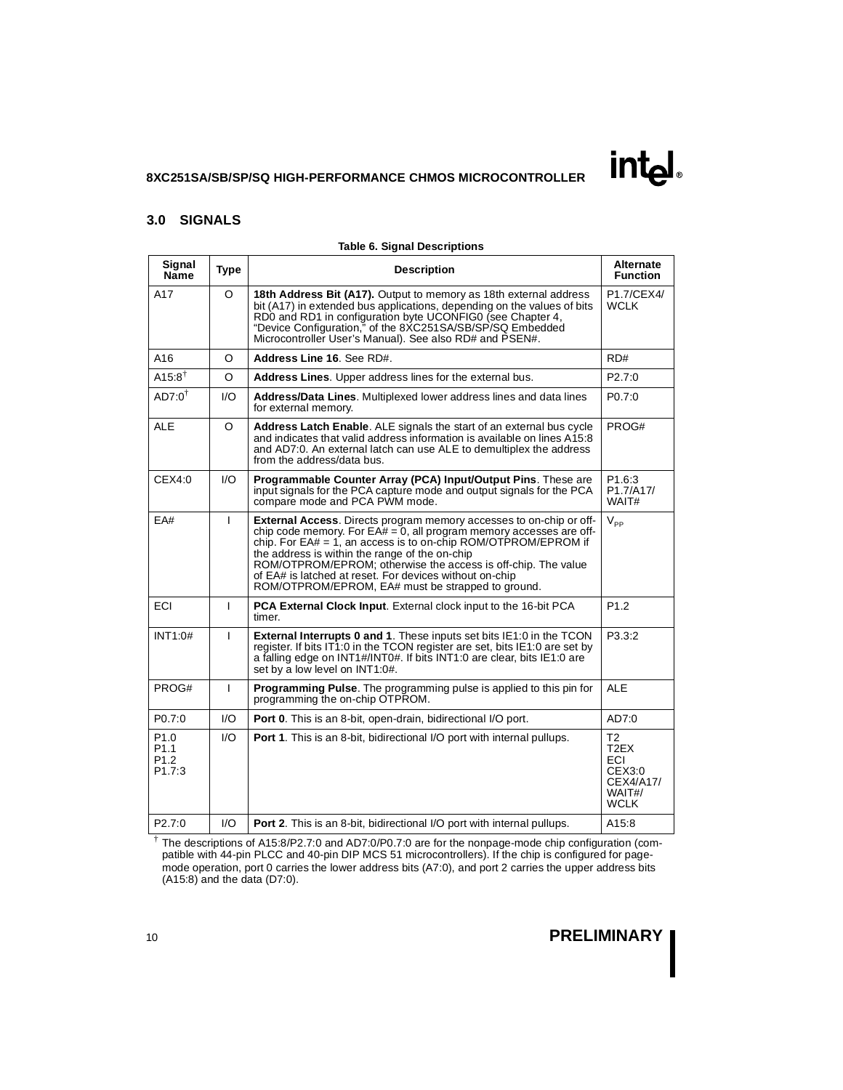### **3.0 SIGNALS**

| <b>Table 6. Signal Descriptions</b>                                             |              |                                                                                                                                                                                                                                                                                                                                                                                                                                                              |                                                                               |  |  |  |
|---------------------------------------------------------------------------------|--------------|--------------------------------------------------------------------------------------------------------------------------------------------------------------------------------------------------------------------------------------------------------------------------------------------------------------------------------------------------------------------------------------------------------------------------------------------------------------|-------------------------------------------------------------------------------|--|--|--|
| Signal<br>Name                                                                  | <b>Type</b>  | <b>Description</b>                                                                                                                                                                                                                                                                                                                                                                                                                                           | Alternate<br><b>Function</b>                                                  |  |  |  |
| A17                                                                             | $\Omega$     | 18th Address Bit (A17). Output to memory as 18th external address<br>bit (A17) in extended bus applications, depending on the values of bits<br>RD0 and RD1 in configuration byte UCONFIG0 (see Chapter 4,<br>"Device Configuration," of the 8XC251SA/SB/SP/SQ Embedded<br>Microcontroller User's Manual). See also RD# and PSEN#.                                                                                                                           | P1.7/CEX4/<br><b>WCLK</b>                                                     |  |  |  |
| A16                                                                             | O            | Address Line 16. See RD#.                                                                                                                                                                                                                                                                                                                                                                                                                                    | RD#                                                                           |  |  |  |
| $A15:8^{\dagger}$                                                               | O            | Address Lines. Upper address lines for the external bus.                                                                                                                                                                                                                                                                                                                                                                                                     | P <sub>2.7</sub> :0                                                           |  |  |  |
| $AD7:0^{\dagger}$                                                               | 1/O          | Address/Data Lines. Multiplexed lower address lines and data lines<br>for external memory.                                                                                                                                                                                                                                                                                                                                                                   | P <sub>0.7:0</sub>                                                            |  |  |  |
| ALE                                                                             | O            | Address Latch Enable. ALE signals the start of an external bus cycle<br>and indicates that valid address information is available on lines A15:8<br>and AD7:0. An external latch can use ALE to demultiplex the address<br>from the address/data bus.                                                                                                                                                                                                        | PROG#                                                                         |  |  |  |
| CEX4:0                                                                          | 1/O          | Programmable Counter Array (PCA) Input/Output Pins. These are<br>input signals for the PCA capture mode and output signals for the PCA<br>compare mode and PCA PWM mode.                                                                                                                                                                                                                                                                                     | P <sub>1.6</sub> :3<br>P1.7/A17/<br>WAIT#                                     |  |  |  |
| EA#                                                                             | $\mathbf{I}$ | <b>External Access.</b> Directs program memory accesses to on-chip or off-<br>chip code memory. For $EA# = 0$ , all program memory accesses are off-<br>chip. For $EA# = 1$ , an access is to on-chip ROM/OTPROM/EPROM if<br>the address is within the range of the on-chip<br>ROM/OTPROM/EPROM; otherwise the access is off-chip. The value<br>of EA# is latched at reset. For devices without on-chip<br>ROM/OTPROM/EPROM, EA# must be strapped to ground. | $V_{\text{pp}}$                                                               |  |  |  |
| <b>ECI</b>                                                                      | $\mathbf{I}$ | <b>PCA External Clock Input.</b> External clock input to the 16-bit PCA<br>timer.                                                                                                                                                                                                                                                                                                                                                                            | P <sub>1.2</sub>                                                              |  |  |  |
| INT1:0#                                                                         | L            | <b>External Interrupts 0 and 1.</b> These inputs set bits IE1:0 in the TCON<br>register. If bits IT1:0 in the TCON register are set, bits IE1:0 are set by<br>a falling edge on INT1#/INT0#. If bits INT1:0 are clear, bits IE1:0 are<br>set by a low level on INT1:0#.                                                                                                                                                                                      | P3.3:2                                                                        |  |  |  |
| PROG#                                                                           | $\mathbf{I}$ | <b>Programming Pulse.</b> The programming pulse is applied to this pin for<br>programming the on-chip OTPROM.                                                                                                                                                                                                                                                                                                                                                | <b>ALE</b>                                                                    |  |  |  |
| P <sub>0.7</sub> :0                                                             | 1/O          | <b>Port 0.</b> This is an 8-bit, open-drain, bidirectional I/O port.                                                                                                                                                                                                                                                                                                                                                                                         | AD7:0                                                                         |  |  |  |
| P <sub>1.0</sub><br>P <sub>1.1</sub><br>P <sub>1.2</sub><br>P <sub>1.7</sub> :3 | 1/O          | <b>Port 1.</b> This is an 8-bit, bidirectional I/O port with internal pullups.                                                                                                                                                                                                                                                                                                                                                                               | T <sub>2</sub><br>T2EX<br>ECI<br>CEX3:0<br>CEX4/A17/<br>WAIT#/<br><b>WCLK</b> |  |  |  |
| P <sub>2.7:0</sub>                                                              | 1/O          | <b>Port 2.</b> This is an 8-bit, bidirectional I/O port with internal pullups.                                                                                                                                                                                                                                                                                                                                                                               | A15:8                                                                         |  |  |  |

† The descriptions of A15:8/P2.7:0 and AD7:0/P0.7:0 are for the nonpage-mode chip configuration (compatible with 44-pin PLCC and 40-pin DIP MCS 51 microcontrollers). If the chip is configured for pagemode operation, port 0 carries the lower address bits (A7:0), and port 2 carries the upper address bits (A15:8) and the data (D7:0).

# <sup>10</sup> **PRELIMINARY**

**intal**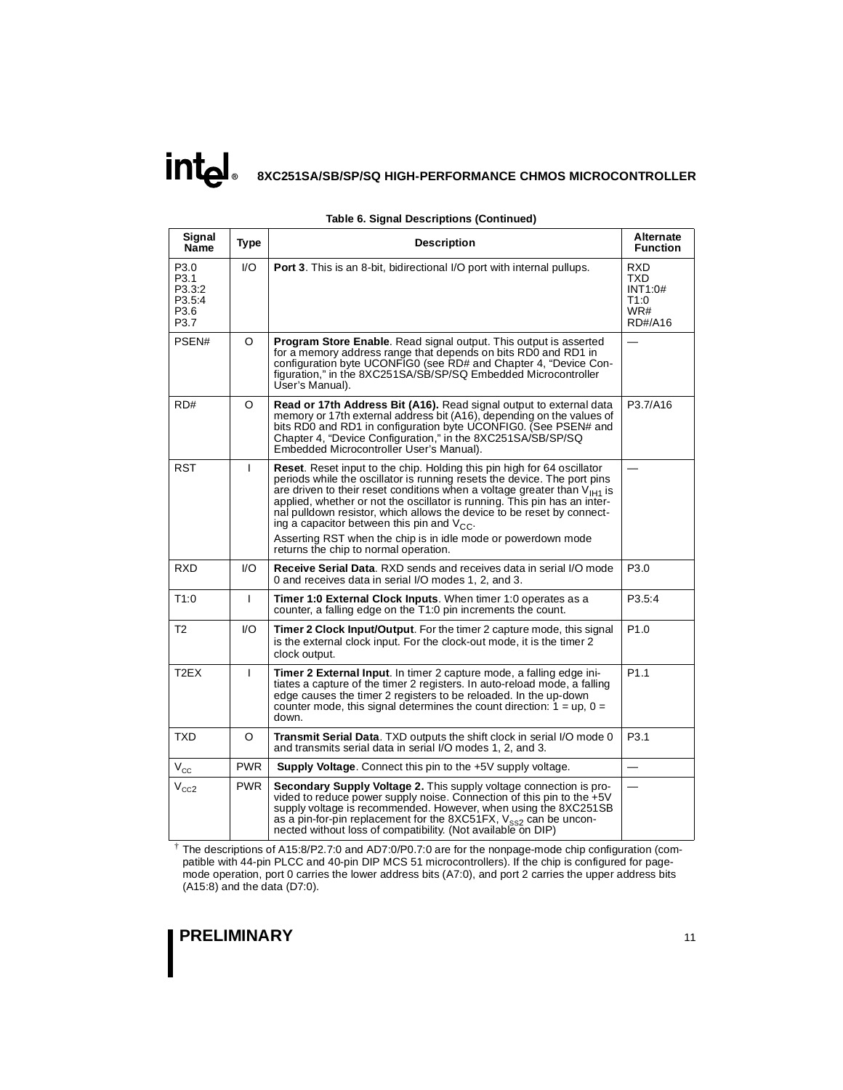# **intal 8XC251SA/SB/SP/SQ HIGH-PERFORMANCE CHMOS MICROCONTROLLER**

| Signal<br>Name                                   | <b>Type</b>  | <b>Description</b>                                                                                                                                                                                                                                                                                                                                                                                                                                                                                                                                             | <b>Alternate</b><br><b>Function</b>                    |
|--------------------------------------------------|--------------|----------------------------------------------------------------------------------------------------------------------------------------------------------------------------------------------------------------------------------------------------------------------------------------------------------------------------------------------------------------------------------------------------------------------------------------------------------------------------------------------------------------------------------------------------------------|--------------------------------------------------------|
| P3.0<br>P3.1<br>P3.3:2<br>P3.5:4<br>P3.6<br>P3.7 | 1/O          | <b>Port 3.</b> This is an 8-bit, bidirectional I/O port with internal pullups.                                                                                                                                                                                                                                                                                                                                                                                                                                                                                 | <b>RXD</b><br>TXD<br>INT1:0#<br>T1:0<br>WR#<br>RD#/A16 |
| PSEN#                                            | O            | <b>Program Store Enable.</b> Read signal output. This output is asserted<br>for a memory address range that depends on bits RD0 and RD1 in<br>configuration byte UCONFIG0 (see RD# and Chapter 4, "Device Con-<br>figuration," in the 8XC251SA/SB/SP/SQ Embedded Microcontroller<br>User's Manual).                                                                                                                                                                                                                                                            |                                                        |
| RD#                                              | O            | Read or 17th Address Bit (A16). Read signal output to external data<br>memory or 17th external address bit (A16), depending on the values of<br>bits RD0 and RD1 in configuration byte UCONFIG0. (See PSEN# and<br>Chapter 4, "Device Configuration," in the 8XC251SA/SB/SP/SQ<br>Embedded Microcontroller User's Manual).                                                                                                                                                                                                                                     | P3.7/A16                                               |
| <b>RST</b>                                       | I            | <b>Reset.</b> Reset input to the chip. Holding this pin high for 64 oscillator<br>periods while the oscillator is running resets the device. The port pins<br>are driven to their reset conditions when a voltage greater than $V_{H1}$ is<br>applied, whether or not the oscillator is running. This pin has an inter-<br>nal pulldown resistor, which allows the device to be reset by connect-<br>ing a capacitor between this pin and $V_{CC}$ .<br>Asserting RST when the chip is in idle mode or powerdown mode<br>returns the chip to normal operation. |                                                        |
| <b>RXD</b>                                       | 1/O          | <b>Receive Serial Data.</b> RXD sends and receives data in serial I/O mode<br>0 and receives data in serial I/O modes 1, 2, and 3.                                                                                                                                                                                                                                                                                                                                                                                                                             | P <sub>3.0</sub>                                       |
| T1:0                                             | I            | <b>Timer 1:0 External Clock Inputs.</b> When timer 1:0 operates as a<br>counter, a falling edge on the T1:0 pin increments the count.                                                                                                                                                                                                                                                                                                                                                                                                                          | P3.5:4                                                 |
| T <sub>2</sub>                                   | 1/O          | <b>Timer 2 Clock Input/Output.</b> For the timer 2 capture mode, this signal<br>is the external clock input. For the clock-out mode, it is the timer 2<br>clock output.                                                                                                                                                                                                                                                                                                                                                                                        | P <sub>1.0</sub>                                       |
| T <sub>2</sub> EX                                | $\mathbf{I}$ | <b>Timer 2 External Input.</b> In timer 2 capture mode, a falling edge ini-<br>tiates a capture of the timer 2 registers. In auto-reload mode, a falling<br>edge causes the timer 2 registers to be reloaded. In the up-down<br>counter mode, this signal determines the count direction: $1 = \text{up}$ , $0 =$<br>down.                                                                                                                                                                                                                                     | P <sub>1.1</sub>                                       |
| <b>TXD</b>                                       | O            | <b>Transmit Serial Data.</b> TXD outputs the shift clock in serial I/O mode 0<br>and transmits serial data in serial I/O modes 1, 2, and 3.                                                                                                                                                                                                                                                                                                                                                                                                                    | P <sub>3.1</sub>                                       |
| $\rm V_{\rm CC}$                                 | <b>PWR</b>   | <b>Supply Voltage.</b> Connect this pin to the $+5V$ supply voltage.                                                                                                                                                                                                                                                                                                                                                                                                                                                                                           | $\equiv$                                               |
| $V_{CC2}$                                        | <b>PWR</b>   | <b>Secondary Supply Voltage 2.</b> This supply voltage connection is pro-<br>vided to reduce power supply noise. Connection of this pin to the $+5V$<br>supply voltage is recommended. However, when using the 8XC251SB<br>as a pin-for-pin replacement for the 8XC51FX, $V_{SS2}$ can be uncon-<br>nected without loss of compatibility. (Not available on DIP)                                                                                                                                                                                               |                                                        |

#### **Table 6. Signal Descriptions (Continued)**

† The descriptions of A15:8/P2.7:0 and AD7:0/P0.7:0 are for the nonpage-mode chip configuration (compatible with 44-pin PLCC and 40-pin DIP MCS 51 microcontrollers). If the chip is configured for pagemode operation, port 0 carries the lower address bits (A7:0), and port 2 carries the upper address bits (A15:8) and the data (D7:0).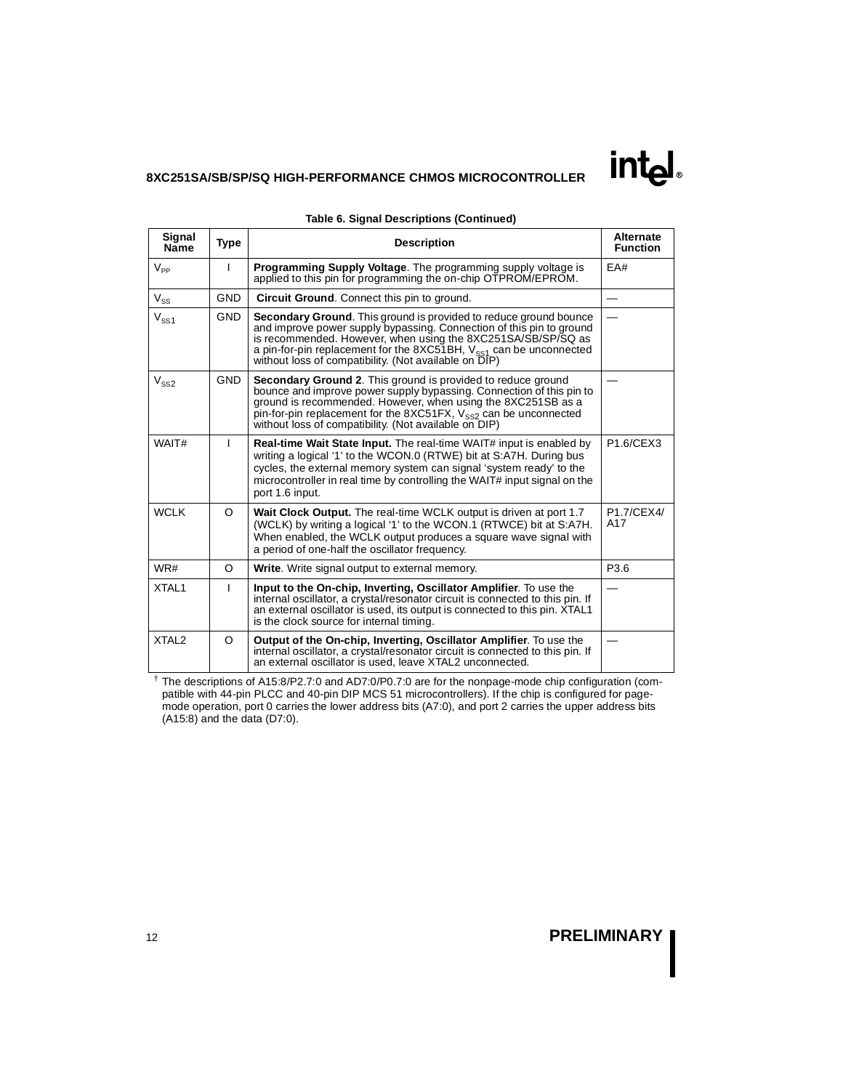| Signal<br><b>Name</b> | <b>Type</b> | <b>Description</b>                                                                                                                                                                                                                                                                                                                                       | <b>Alternate</b><br><b>Function</b> |
|-----------------------|-------------|----------------------------------------------------------------------------------------------------------------------------------------------------------------------------------------------------------------------------------------------------------------------------------------------------------------------------------------------------------|-------------------------------------|
| $V_{\sf pp}$          | L           | <b>Programming Supply Voltage.</b> The programming supply voltage is<br>applied to this pin for programming the on-chip OTPROM/EPROM.                                                                                                                                                                                                                    | EA#                                 |
| $V_{SS}$              | <b>GND</b>  | <b>Circuit Ground.</b> Connect this pin to ground.                                                                                                                                                                                                                                                                                                       |                                     |
| $V_{SS1}$             | <b>GND</b>  | <b>Secondary Ground.</b> This ground is provided to reduce ground bounce<br>and improve power supply bypassing. Connection of this pin to ground<br>is recommended. However, when using the 8XC251SA/SB/SP/SQ as<br>a pin-for-pin replacement for the 8XC51BH, $V_{\rm sst}$ can be unconnected<br>without loss of compatibility. (Not available on DIP) |                                     |
| $V_{SS2}$             | <b>GND</b>  | <b>Secondary Ground 2.</b> This ground is provided to reduce ground<br>bounce and improve power supply bypassing. Connection of this pin to<br>ground is recommended. However, when using the 8XC251SB as a<br>pin-for-pin replacement for the 8XC51FX, $V_{ss2}$ can be unconnected<br>without loss of compatibility. (Not available on DIP)            |                                     |
| WAIT#                 | L           | <b>Real-time Wait State Input.</b> The real-time WAIT# input is enabled by<br>writing a logical '1' to the WCON.0 (RTWE) bit at S:A7H. During bus<br>cycles, the external memory system can signal 'system ready' to the<br>microcontroller in real time by controlling the WAIT# input signal on the<br>port 1.6 input.                                 | P1.6/CEX3                           |
| WCI K                 | $\Omega$    | Wait Clock Output. The real-time WCLK output is driven at port 1.7<br>(WCLK) by writing a logical '1' to the WCON.1 (RTWCE) bit at S:A7H.<br>When enabled, the WCLK output produces a square wave signal with<br>a period of one-half the oscillator frequency.                                                                                          | P1.7/CEX4/<br>A17                   |
| WR#                   | O           | <b>Write.</b> Write signal output to external memory.                                                                                                                                                                                                                                                                                                    | P3.6                                |
| XTAL1                 | L           | Input to the On-chip, Inverting, Oscillator Amplifier. To use the<br>internal oscillator, a crystal/resonator circuit is connected to this pin. If<br>an external oscillator is used, its output is connected to this pin. XTAL1<br>is the clock source for internal timing.                                                                             |                                     |
| XTAL <sub>2</sub>     | O           | Output of the On-chip, Inverting, Oscillator Amplifier. To use the<br>internal oscillator, a crystal/resonator circuit is connected to this pin. If<br>an external oscillator is used, leave XTAL2 unconnected.                                                                                                                                          |                                     |

#### **Table 6. Signal Descriptions (Continued)**

† The descriptions of A15:8/P2.7:0 and AD7:0/P0.7:0 are for the nonpage-mode chip configuration (compatible with 44-pin PLCC and 40-pin DIP MCS 51 microcontrollers). If the chip is configured for pagemode operation, port 0 carries the lower address bits (A7:0), and port 2 carries the upper address bits (A15:8) and the data (D7:0).

**intel**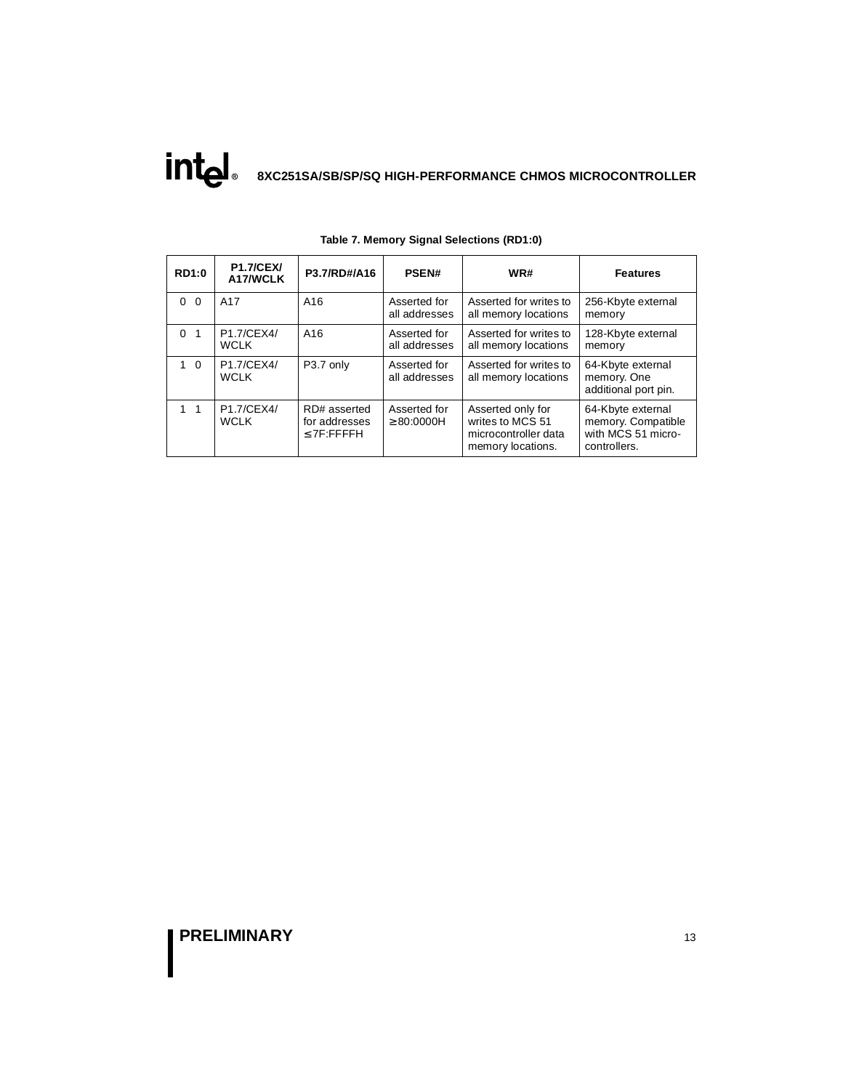| <b>RD1:0</b>               | <b>P1.7/CEX/</b><br>A17/WCLK | P3.7/RD#/A16<br><b>PSEN#</b>                     |                                 | WR#                                                                                | <b>Features</b>                                                               |  |
|----------------------------|------------------------------|--------------------------------------------------|---------------------------------|------------------------------------------------------------------------------------|-------------------------------------------------------------------------------|--|
| $0\quad 0$                 | A17                          | A16                                              | Asserted for<br>all addresses   | Asserted for writes to<br>all memory locations                                     | 256-Kbyte external<br>memory                                                  |  |
| $\Omega$<br>$\overline{1}$ | P1.7/CEX4/<br><b>WCLK</b>    | A <sub>16</sub>                                  | Asserted for<br>all addresses   | Asserted for writes to<br>all memory locations                                     | 128-Kbyte external<br>memory                                                  |  |
| $1\quad$ 0                 | P1.7/CEX4/<br><b>WCLK</b>    | P3.7 only                                        | Asserted for<br>all addresses   | Asserted for writes to<br>all memory locations                                     | 64-Kbyte external<br>memory. One<br>additional port pin.                      |  |
| $1 \quad 1$                | P1.7/CEX4/<br><b>WCLK</b>    | RD# asserted<br>for addresses<br>$\leq$ 7F:FFFFH | Asserted for<br>$\geq$ 80:0000H | Asserted only for<br>writes to MCS 51<br>microcontroller data<br>memory locations. | 64-Kbyte external<br>memory. Compatible<br>with MCS 51 micro-<br>controllers. |  |

**Table 7. Memory Signal Selections (RD1:0)**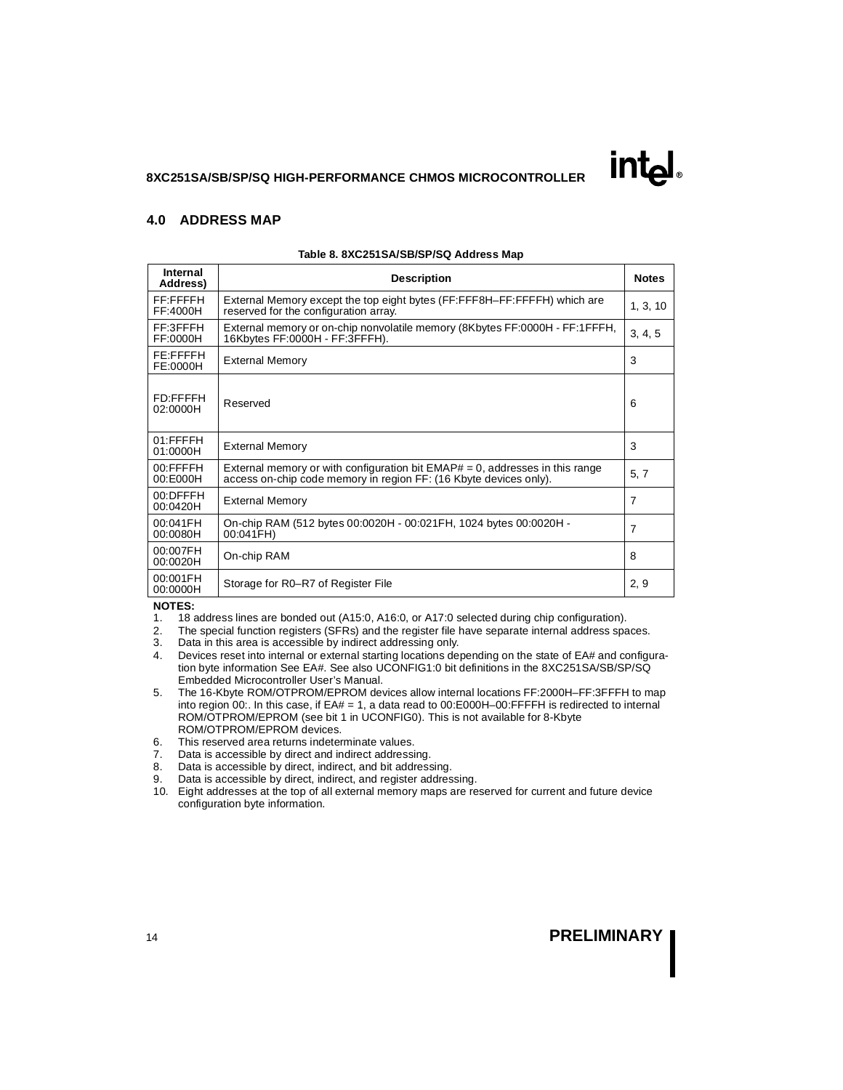### **4.0 ADDRESS MAP**

| <b>Internal</b><br>Address) | <b>Description</b>                                                                                                                                   | <b>Notes</b> |
|-----------------------------|------------------------------------------------------------------------------------------------------------------------------------------------------|--------------|
| FF:FFFFH<br>FF:4000H        | External Memory except the top eight bytes (FF:FFF8H-FF:FFFFH) which are<br>reserved for the configuration array.                                    | 1, 3, 10     |
| FF:3FFFH<br>FF:0000H        | External memory or on-chip nonvolatile memory (8Kbytes FF:0000H - FF:1FFFH,<br>16Kbytes FF:0000H - FF:3FFFH).                                        | 3, 4, 5      |
| FE:FFFFH<br>FE:0000H        | <b>External Memory</b>                                                                                                                               | 3            |
| <b>FD:FFFFH</b><br>02:0000H | Reserved                                                                                                                                             | 6            |
| 01:FFFFH<br>01:0000H        | <b>External Memory</b>                                                                                                                               | 3            |
| 00:FFFFH<br>00:E000H        | External memory or with configuration bit $EMAP# = 0$ , addresses in this range<br>access on-chip code memory in region FF: (16 Kbyte devices only). | 5, 7         |
| 00:DFFFH<br>00:0420H        | <b>External Memory</b>                                                                                                                               | 7            |
| 00:041FH<br>00:0080H        | On-chip RAM (512 bytes 00:0020H - 00:021FH, 1024 bytes 00:0020H -<br>00:041FH)                                                                       | 7            |
| 00:007FH<br>00:0020H        | On-chip RAM                                                                                                                                          | 8            |
| 00:001FH<br>00:0000H        | Storage for R0–R7 of Register File                                                                                                                   | 2,9          |

#### **Table 8. 8XC251SA/SB/SP/SQ Address Map**

### **NOTES:**

- 1. 18 address lines are bonded out (A15:0, A16:0, or A17:0 selected during chip configuration).
- 2. The special function registers (SFRs) and the register file have separate internal address spaces.
- 3. Data in this area is accessible by indirect addressing only.
- 4. Devices reset into internal or external starting locations depending on the state of EA# and configuration byte information See EA#. See also UCONFIG1:0 bit definitions in the 8XC251SA/SB/SP/SQ Embedded Microcontroller User's Manual.
- 5. The 16-Kbyte ROM/OTPROM/EPROM devices allow internal locations FF:2000H–FF:3FFFH to map into region 00:. In this case, if EA# = 1, a data read to 00:E000H-00:FFFFH is redirected to internal ROM/OTPROM/EPROM (see bit 1 in UCONFIG0). This is not available for 8-Kbyte ROM/OTPROM/EPROM devices.
- 6. This reserved area returns indeterminate values.
- 7. Data is accessible by direct and indirect addressing.
- 8. Data is accessible by direct, indirect, and bit addressing.
- 9. Data is accessible by direct, indirect, and register addressing.
- 10. Eight addresses at the top of all external memory maps are reserved for current and future device configuration byte information.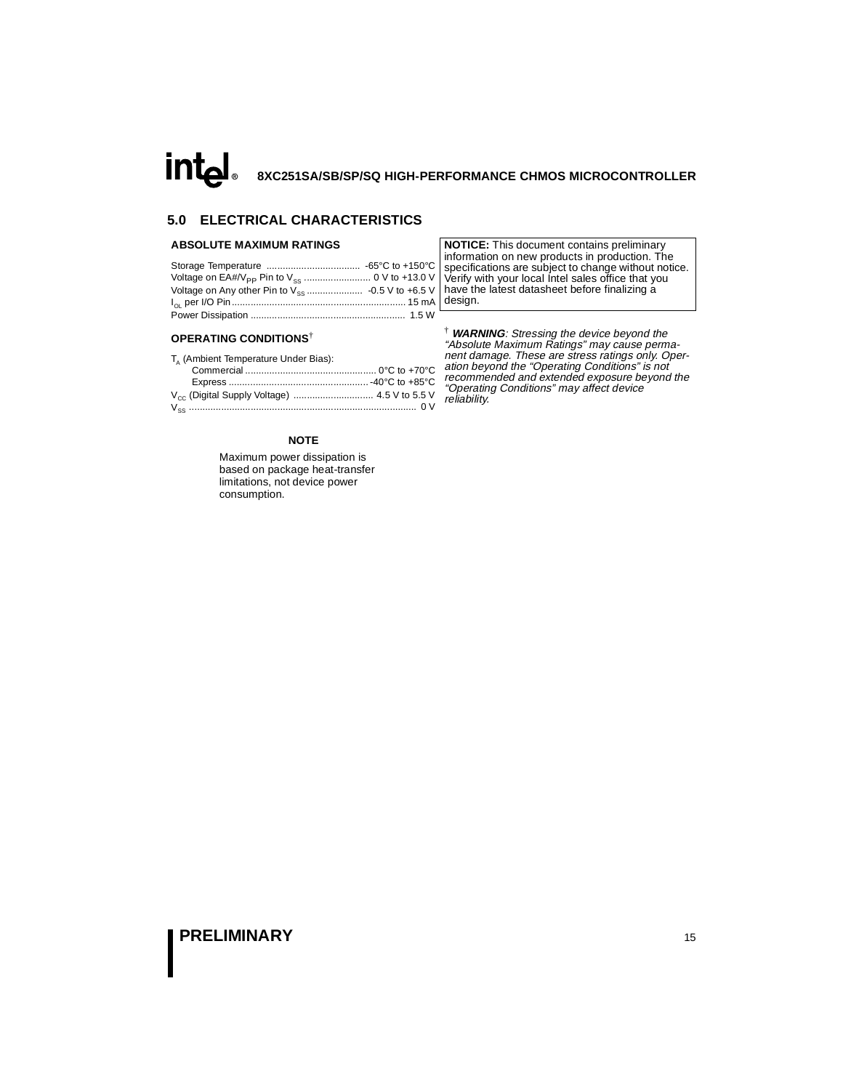### **5.0 ELECTRICAL CHARACTERISTICS**

#### **ABSOLUTE MAXIMUM RATINGS**

#### **OPERATING CONDITIONS**†

| T. (Ambient Temperature Under Bias): |  |
|--------------------------------------|--|
|                                      |  |
|                                      |  |
|                                      |  |
|                                      |  |

**NOTICE:** This document contains preliminary information on new products in production. The specifications are subject to change without notice. Verify with your local Intel sales office that you have the latest datasheet before finalizing a design.

† **WARNING**: Stressing the device beyond the "Absolute Maximum Ratings" may cause permanent damage. These are stress ratings only. Operation beyond the "Operating Conditions" is not recommended and extended exposure beyond the "Operating Conditions" may affect device reliability.

### **NOTE**

Maximum power dissipation is based on package heat-transfer limitations, not device power consumption.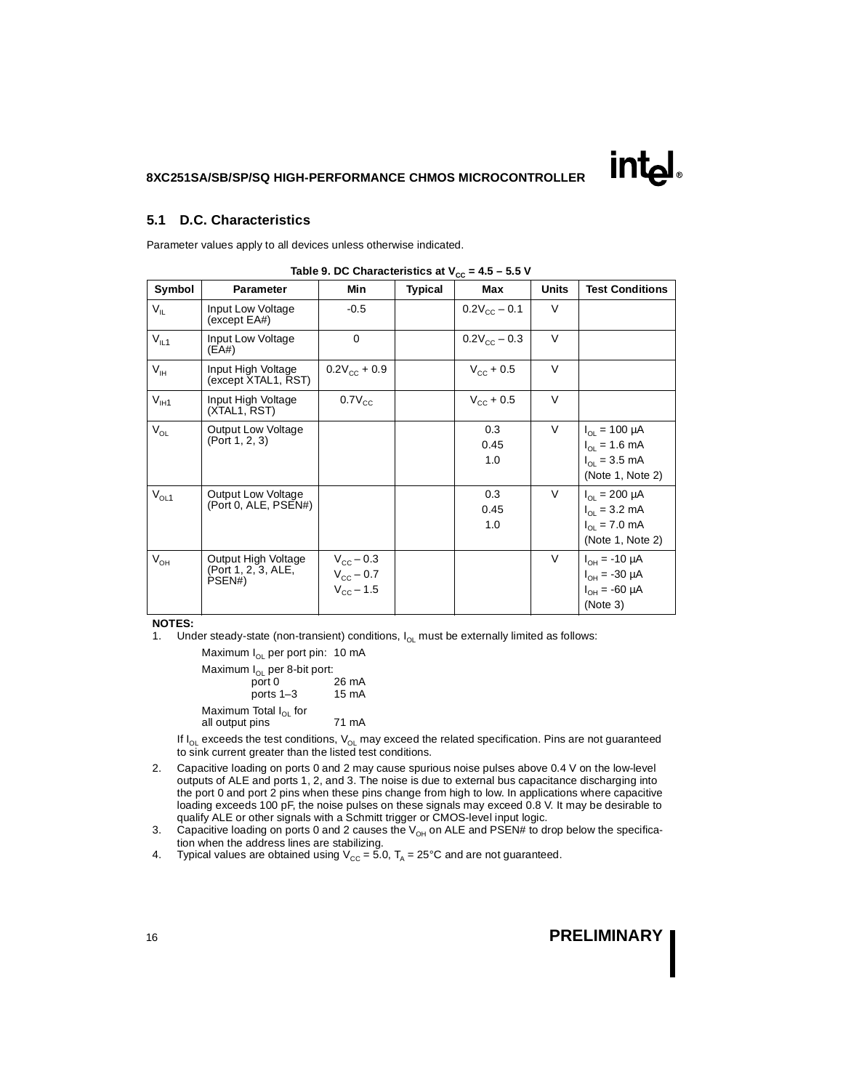### <span id="page-15-0"></span>**5.1 D.C. Characteristics**

Parameter values apply to all devices unless otherwise indicated.

| rable 5: BO Sharasteristics at $\mathbf{r}_{\text{CC}}$<br>- 7. |                                                      |                                                                   |                |                       |              |                                                                                           |
|-----------------------------------------------------------------|------------------------------------------------------|-------------------------------------------------------------------|----------------|-----------------------|--------------|-------------------------------------------------------------------------------------------|
| Symbol                                                          | <b>Parameter</b>                                     | Min                                                               | <b>Typical</b> | Max                   | <b>Units</b> | <b>Test Conditions</b>                                                                    |
| $V_{IL}$                                                        | Input Low Voltage<br>(except E <sub>A#</sub> )       | $-0.5$                                                            |                | $0.2V_{\rm CC} - 0.1$ | V            |                                                                                           |
| $V_{IL1}$                                                       | Input Low Voltage<br>(EA#)                           | $\mathbf 0$                                                       |                | $0.2V_{\rm CC}$ – 0.3 | V            |                                                                                           |
| $V_{\text{IH}}$                                                 | Input High Voltage<br>(except XTAL1, RST)            | $0.2V_{\rm cc}$ + 0.9                                             |                | $V_{\text{cc}} + 0.5$ | $\vee$       |                                                                                           |
| $V_{\text{I}H1}$                                                | Input High Voltage<br>(XTAL1, RST)                   | $0.7V_{\rm CC}$                                                   |                | $V_{\rm CC}$ + 0.5    | $\vee$       |                                                                                           |
| $V_{OL}$                                                        | <b>Output Low Voltage</b><br>(Port 1, 2, 3)          |                                                                   |                | 0.3<br>0.45<br>1.0    | V            | $I_{\Omega} = 100 \mu A$<br>$I_{OL} = 1.6$ mA<br>$I_{OL} = 3.5$ mA<br>(Note 1, Note 2)    |
| $V_{OL1}$                                                       | <b>Output Low Voltage</b><br>(Port 0, ALE, PSEN#)    |                                                                   |                | 0.3<br>0.45<br>1.0    | $\vee$       | $I_{\text{ol}} = 200 \mu A$<br>$I_{OL} = 3.2$ mA<br>$I_{OL} = 7.0$ mA<br>(Note 1, Note 2) |
| $V_{OH}$                                                        | Output High Voltage<br>(Port 1, 2, 3, ALE,<br>PSEN#) | $V_{\text{cc}}$ – 0.3<br>$V_{\rm CC}$ – 0.7<br>$V_{\rm CC}$ – 1.5 |                |                       | $\vee$       | $I_{OH} = -10 \mu A$<br>$I_{OH} = -30 \mu A$<br>$I_{OH} = -60 \mu A$<br>(Note 3)          |

 $Table 9. DC Characteristics at V = 4.5 - 5.5 V$ 

#### **NOTES:**

1. Under steady-state (non-transient) conditions,  $I_{OL}$  must be externally limited as follows:

Maximum  $I_{OL}$  per port pin: 10 mA Maximum  $I_{OL}$  per 8-bit port:<br>port 0 26 mA ports 1–3 15 mA

Maximum Total  $I_{OL}$  for all output pins 71 mA

If  $I_{OL}$  exceeds the test conditions,  $V_{OL}$  may exceed the related specification. Pins are not guaranteed to sink current greater than the listed test conditions.

- 2. Capacitive loading on ports 0 and 2 may cause spurious noise pulses above 0.4 V on the low-level outputs of ALE and ports 1, 2, and 3. The noise is due to external bus capacitance discharging into the port 0 and port 2 pins when these pins change from high to low. In applications where capacitive loading exceeds 100 pF, the noise pulses on these signals may exceed 0.8 V. It may be desirable to qualify ALE or other signals with a Schmitt trigger or CMOS-level input logic.
- 3. Capacitive loading on ports 0 and 2 causes the  $V_{OH}$  on ALE and PSEN# to drop below the specification when the address lines are stabilizing.
- 4. Typical values are obtained using  $V_{CC} = 5.0$ ,  $T_A = 25^{\circ}C$  and are not guaranteed.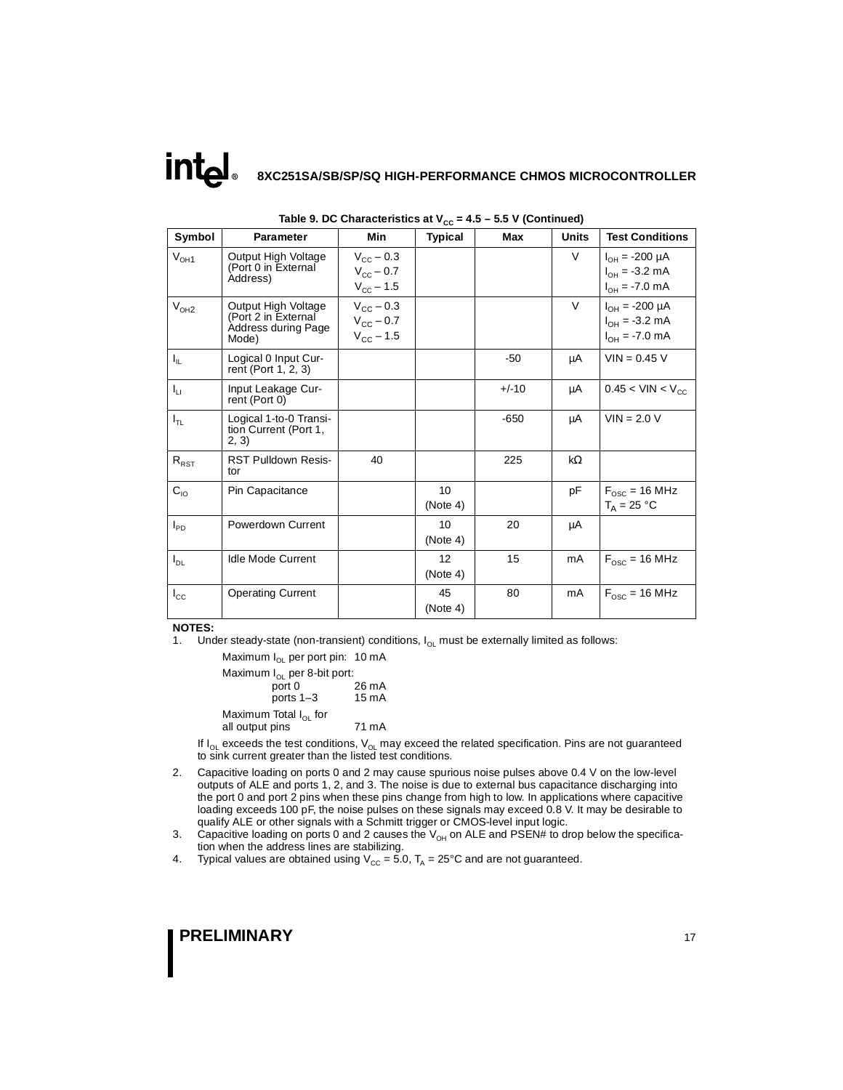| Symbol       | <b>Parameter</b>                                                           | Min                                                               | - 66<br><b>Typical</b> | Max     | <b>Units</b> | <b>Test Conditions</b>                                            |
|--------------|----------------------------------------------------------------------------|-------------------------------------------------------------------|------------------------|---------|--------------|-------------------------------------------------------------------|
| $V_{OH1}$    | Output High Voltage<br>(Port 0 in External<br>Address)                     | $V_{\text{cc}}$ – 0.3<br>$V_{\rm CC}$ – 0.7<br>$V_{\rm CC}$ – 1.5 |                        |         | V            | $I_{OH} = -200 \mu A$<br>$I_{OH} = -3.2$ mA<br>$I_{OH} = -7.0$ mA |
| $V_{OH2}$    | Output High Voltage<br>(Port 2 in External<br>Address during Page<br>Mode) | $V_{\rm CC}$ – 0.3<br>$V_{\rm CC}$ – 0.7<br>$V_{CC} - 1.5$        |                        |         | V            | $I_{OH} = -200 \mu A$<br>$I_{OH} = -3.2$ mA<br>$I_{OH} = -7.0$ mA |
| $I_{\rm IL}$ | Logical 0 Input Cur-<br>rent (Port 1, 2, 3)                                |                                                                   |                        | $-50$   | μA           | $VIN = 0.45 V$                                                    |
| $I_{LI}$     | Input Leakage Cur-<br>rent (Port 0)                                        |                                                                   |                        | $+/-10$ | μA           | $0.45 < V$ IN < V <sub>CC</sub>                                   |
| $I_{TL}$     | Logical 1-to-0 Transi-<br>tion Current (Port 1,<br>2, 3)                   |                                                                   |                        | $-650$  | μA           | $VIN = 2.0 V$                                                     |
| $R_{RST}$    | <b>RST Pulldown Resis-</b><br>tor                                          | 40                                                                |                        | 225     | kΩ           |                                                                   |
| $C_{10}$     | Pin Capacitance                                                            |                                                                   | 10<br>(Note 4)         |         | pF           | $F_{\text{osc}}$ = 16 MHz<br>$T_A = 25 °C$                        |
| $I_{PD}$     | Powerdown Current                                                          |                                                                   | 10<br>(Note 4)         | 20      | μA           |                                                                   |
| $I_{DL}$     | <b>Idle Mode Current</b>                                                   |                                                                   | 12<br>(Note 4)         | 15      | mA           | $F_{\text{osc}}$ = 16 MHz                                         |
| $I_{\rm CC}$ | <b>Operating Current</b>                                                   |                                                                   | 45<br>(Note 4)         | 80      | mA           | $F_{\text{osc}}$ = 16 MHz                                         |

| Table 9. DC Characteristics at $V_{cc}$ = 4.5 – 5.5 V (Continued) |  |  |
|-------------------------------------------------------------------|--|--|
|-------------------------------------------------------------------|--|--|

#### **NOTES:**

1. Under steady-state (non-transient) conditions,  $I_{OL}$  must be externally limited as follows:

Maximum  $I_{OL}$  per port pin: 10 mA Maximum  $I_{OL}$  per 8-bit port:<br>: port 0  $26 \text{ mA}$ <br>15 mA ports  $1-3$ Maximum Total  $I_{OL}$  for all output pins 71 mA

If  $I_{OL}$  exceeds the test conditions,  $V_{OL}$  may exceed the related specification. Pins are not guaranteed to sink current greater than the listed test conditions.

- 2. Capacitive loading on ports 0 and 2 may cause spurious noise pulses above 0.4 V on the low-level outputs of ALE and ports 1, 2, and 3. The noise is due to external bus capacitance discharging into the port 0 and port 2 pins when these pins change from high to low. In applications where capacitive loading exceeds 100 pF, the noise pulses on these signals may exceed 0.8 V. It may be desirable to qualify ALE or other signals with a Schmitt trigger or CMOS-level input logic.
- 3. Capacitive loading on ports 0 and 2 causes the  $V_{OH}$  on ALE and PSEN# to drop below the specification when the address lines are stabilizing.
- 4. Typical values are obtained using  $V_{CC} = 5.0$ ,  $T_A = 25^{\circ}C$  and are not guaranteed.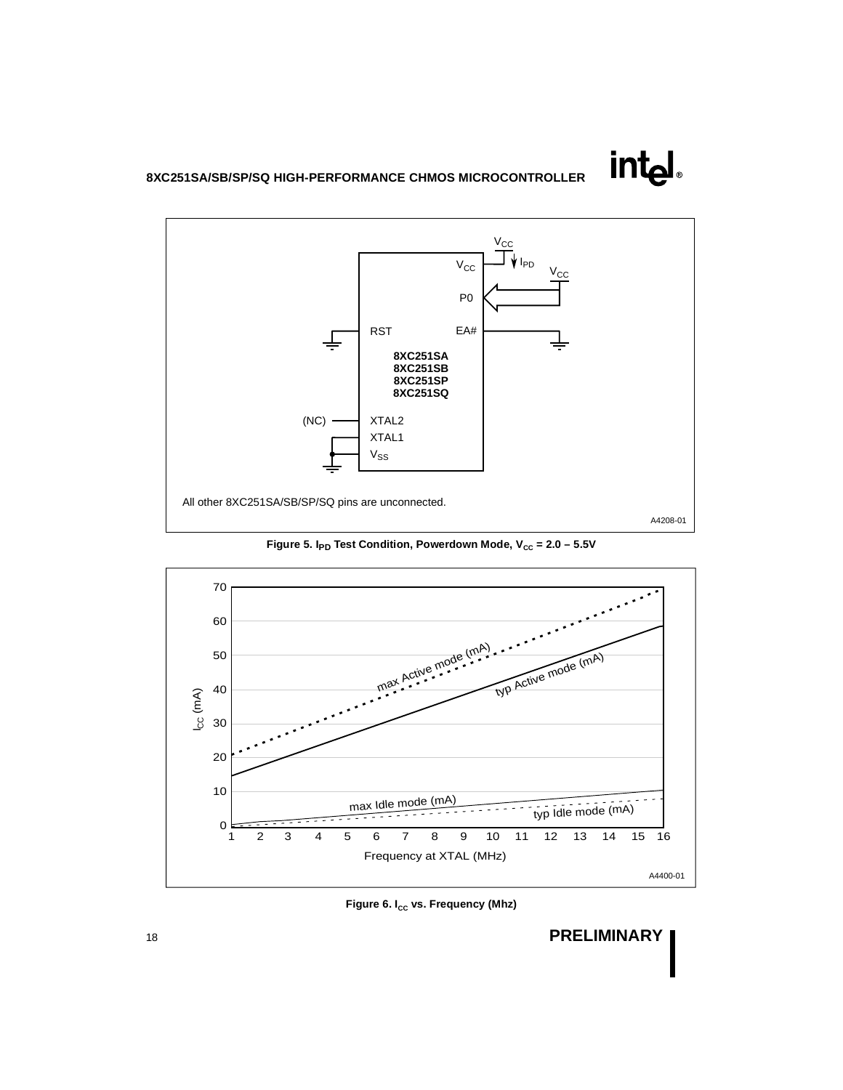

Figure 5. I<sub>PD</sub> Test Condition, Powerdown Mode, V<sub>cc</sub> = 2.0 - 5.5V





**intel**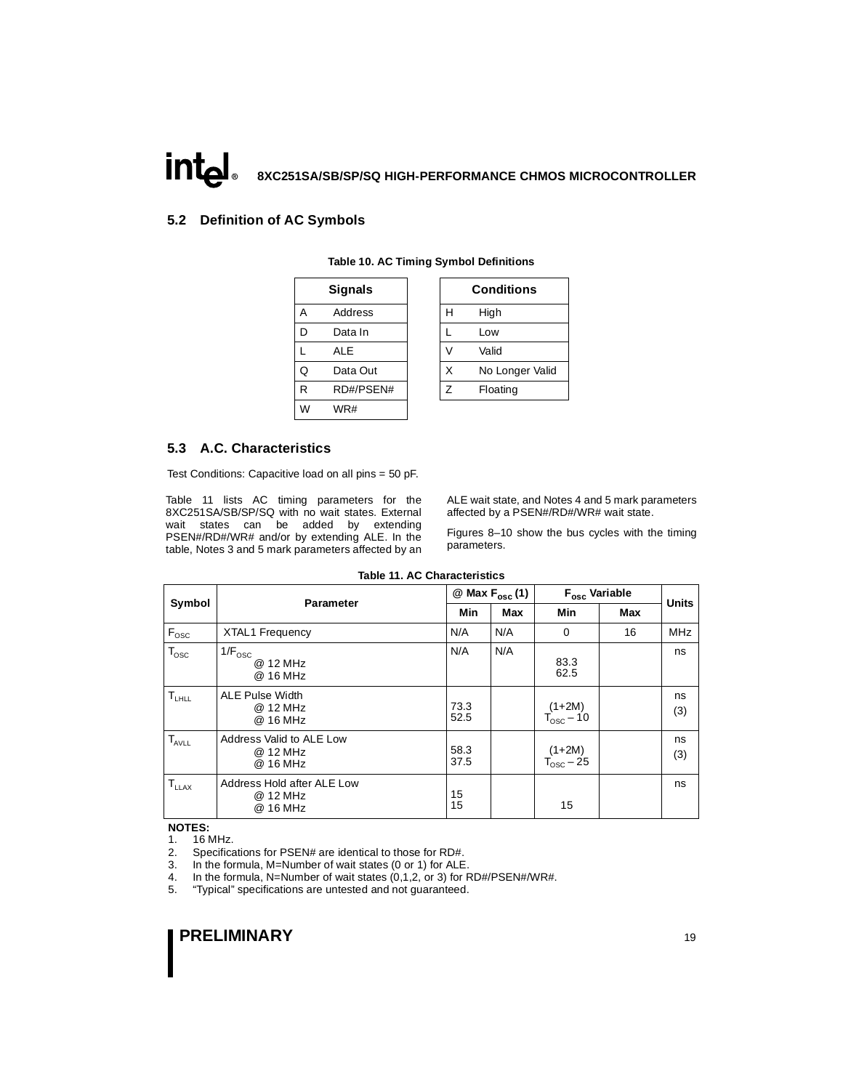### <span id="page-18-0"></span>**5.2 Definition of AC Symbols**

|   | <b>Signals</b> |   | Conditio |
|---|----------------|---|----------|
| A | Address        | Н | High     |
| D | Data In        |   | Low      |
|   | <b>ALE</b>     |   | Valid    |
| Q | Data Out       | X | No Lond  |
| R | RD#/PSEN#      | Z | Floating |
| W | WR#            |   |          |

|   | <b>Signals</b> |   | <b>Conditions</b> |
|---|----------------|---|-------------------|
| Α | Address        | н | High              |
| D | Data In        |   | Low               |
| L | ALE            |   | Valid             |
| Q | Data Out       | x | No Longer Valid   |
| R | RD#/PSEN#      |   | Floating          |

### **5.3 A.C. Characteristics**

Test Conditions: Capacitive load on all pins = 50 pF.

Table 11 lists AC timing parameters for the 8XC251SA/SB/SP/SQ with no wait states. External wait states can be added by extending PSEN#/RD#/WR# and/or by extending ALE. In the table, Notes 3 and 5 mark parameters affected by an ALE wait state, and Notes 4 and 5 mark parameters affected by a PSEN#/RD#/WR# wait state.

Figures [8–](#page-22-0)[10](#page-24-0) show the bus cycles with the timing parameters.

| Symbol                    | <b>Parameter</b>                                   |              | $@$ Max $F_{osc}$ (1) |                                   | F <sub>osc</sub> Variable |            | <b>Units</b> |
|---------------------------|----------------------------------------------------|--------------|-----------------------|-----------------------------------|---------------------------|------------|--------------|
|                           |                                                    | <b>Min</b>   | Max                   | Min                               | <b>Max</b>                |            |              |
| $\mathsf{F}_{\text{osc}}$ | <b>XTAL1 Frequency</b>                             | N/A          | N/A                   | $\mathbf 0$                       | 16                        | <b>MHz</b> |              |
| $T_{\rm osc}$             | $1/F_{\text{osc}}$<br>@ 12 MHz<br>@ 16 MHz         | N/A          | N/A                   | 83.3<br>62.5                      |                           | ns         |              |
| $T_{LHLL}$                | <b>ALE Pulse Width</b><br>@ 12 MHz<br>@ 16 MHz     | 73.3<br>52.5 |                       | $(1+2M)$<br>$T_{\text{osc}} - 10$ |                           | ns<br>(3)  |              |
| $T_{AVLL}$                | Address Valid to ALE Low<br>@ 12 MHz<br>@ 16 MHz   | 58.3<br>37.5 |                       | $(1+2M)$<br>$T_{\text{osc}} - 25$ |                           | ns<br>(3)  |              |
| $T_{LLAX}$                | Address Hold after ALE Low<br>@ 12 MHz<br>@ 16 MHz | 15<br>15     |                       | 15                                |                           | ns         |              |

**Table 11. AC Characteristics**

#### **NOTES:**

1. 16 MHz.

2. Specifications for PSEN# are identical to those for RD#.

3. In the formula, M=Number of wait states (0 or 1) for ALE.

4. In the formula, N=Number of wait states (0,1,2, or 3) for RD#/PSEN#/WR#.

5. "Typical" specifications are untested and not guaranteed.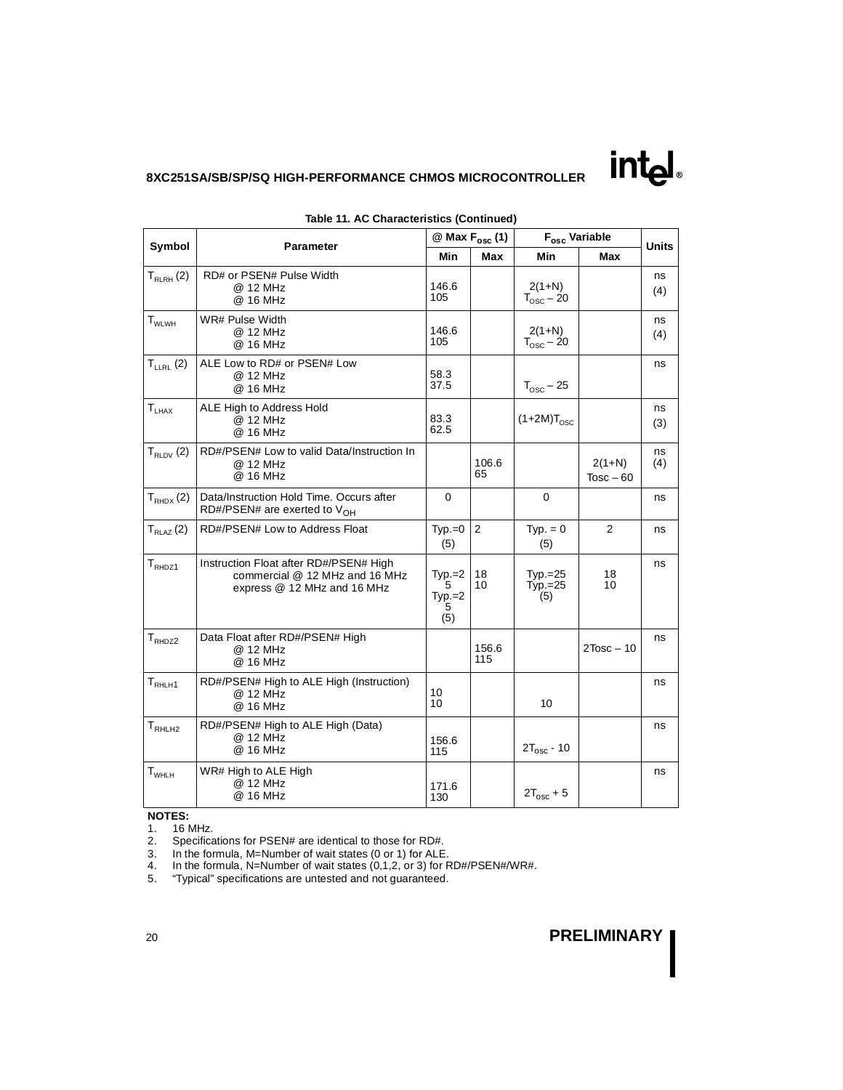|                               | Symbol<br><b>Parameter</b>                                                                              |                                    | @ Max F <sub>osc</sub> (1) | $\mathsf{F}_{\mathsf{osc}}$ Variable |                         | <b>Units</b> |
|-------------------------------|---------------------------------------------------------------------------------------------------------|------------------------------------|----------------------------|--------------------------------------|-------------------------|--------------|
|                               |                                                                                                         | Min                                | Max                        | Min                                  | Max                     |              |
| $T_{RLRH}$ (2)                | RD# or PSEN# Pulse Width<br>@ 12 MHz<br>@ 16 MHz                                                        | 146.6<br>105                       |                            | $2(1+N)$<br>$T_{\text{osc}}$ – 20    |                         | ns<br>(4)    |
| $\mathsf{T}_{\mathsf{WLWH}}$  | WR# Pulse Width<br>@ 12 MHz<br>@ 16 MHz                                                                 | 146.6<br>105                       |                            | $2(1+N)$<br>$T_{\text{osc}}$ – 20    |                         | ns<br>(4)    |
| $T_{LLRL}$ (2)                | ALE Low to RD# or PSEN# Low<br>@ 12 MHz<br>@ 16 MHz                                                     | 58.3<br>37.5                       |                            | $T_{\text{osc}} - 25$                |                         | ns           |
| $T_{LHAX}$                    | ALE High to Address Hold<br>@ 12 MHz<br>@ 16 MHz                                                        | 83.3<br>62.5                       |                            | $(1+2M)T_{\text{osc}}$               |                         | ns<br>(3)    |
| $T_{RLDV}$ (2)                | RD#/PSEN# Low to valid Data/Instruction In<br>@ 12 MHz<br>@ 16 MHz                                      |                                    | 106.6<br>65                |                                      | $2(1+N)$<br>$Tosc - 60$ | ns<br>(4)    |
| $T_{RHDX}(2)$                 | Data/Instruction Hold Time. Occurs after<br>RD#/PSEN# are exerted to $V_{OH}$                           | $\Omega$                           |                            | $\Omega$                             |                         | ns           |
| $T_{RLAZ}$ $(2)$              | RD#/PSEN# Low to Address Float                                                                          | $Typ.=0$<br>(5)                    | 2                          | $Typ. = 0$<br>(5)                    | $\overline{2}$          | ns           |
| $\mathsf{T}_{\mathsf{RHDZ1}}$ | Instruction Float after RD#/PSEN# High<br>commercial @ 12 MHz and 16 MHz<br>express @ 12 MHz and 16 MHz | $Type = 2$<br>5<br>$Typ.=2$<br>(5) | 18<br>10                   | $Typ.=25$<br>$Typ.=25$<br>(5)        | 18<br>10                | ns           |
| $T_{RHDZ2}$                   | Data Float after RD#/PSEN# High<br>@ 12 MHz<br>@ 16 MHz                                                 |                                    | 156.6<br>115               |                                      | $2Tosc - 10$            | ns           |
| $T_{RHLH1}$                   | RD#/PSEN# High to ALE High (Instruction)<br>@ 12 MHz<br>@ 16 MHz                                        | 10<br>10                           |                            | 10                                   |                         | ns           |
| T <sub>RHLH2</sub>            | RD#/PSEN# High to ALE High (Data)<br>@ 12 MHz<br>@ 16 MHz                                               | 156.6<br>115                       |                            | $2T_{\text{osc}}$ - 10               |                         | ns           |
| $T_{WHLH}$                    | WR# High to ALE High<br>@ 12 MHz<br>@ 16 MHz                                                            | 171.6<br>130                       |                            | $2T_{osc} + 5$                       |                         | ns           |

**Table 11. AC Characteristics (Continued)**

### **NOTES:**

- 1. 16 MHz.
- 2. Specifications for PSEN# are identical to those for RD#.
- 3. In the formula, M=Number of wait states (0 or 1) for ALE.
- 4. In the formula, N=Number of wait states (0,1,2, or 3) for RD#/PSEN#/WR#.
- 5. "Typical" specifications are untested and not guaranteed.

# <sup>20</sup> **PRELIMINARY**

**intel**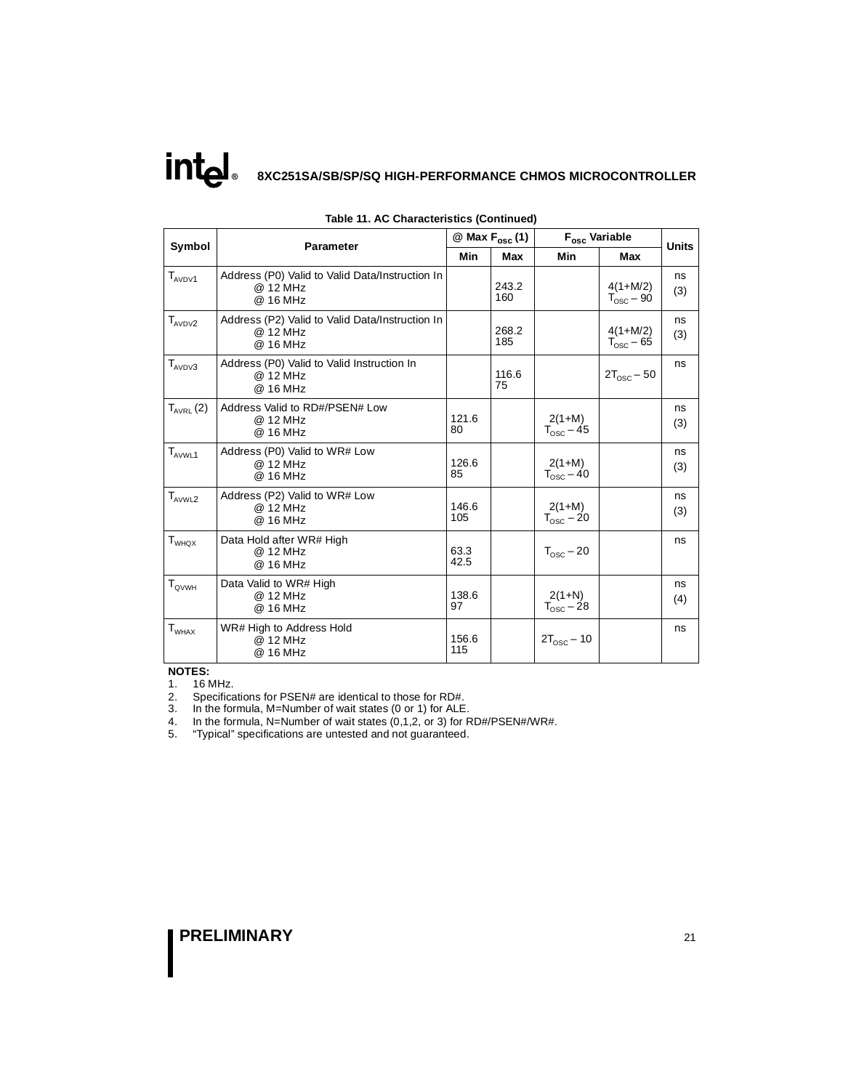|                               | <b>Parameter</b>                                                        | $\omega$ Max $F_{osc}$ (1) |              | F <sub>osc</sub> Variable         |                                     | <b>Units</b> |
|-------------------------------|-------------------------------------------------------------------------|----------------------------|--------------|-----------------------------------|-------------------------------------|--------------|
| Symbol                        |                                                                         | Min                        | <b>Max</b>   | <b>Min</b>                        | Max                                 |              |
| $T_{AVDY1}$                   | Address (P0) Valid to Valid Data/Instruction In<br>@ 12 MHz<br>@ 16 MHz |                            | 243.2<br>160 |                                   | $4(1+M/2)$<br>$T_{\text{osc}}$ – 90 | ns<br>(3)    |
| $T_{AVDV2}$                   | Address (P2) Valid to Valid Data/Instruction In<br>@ 12 MHz<br>@ 16 MHz |                            | 268.2<br>185 |                                   | $4(1+M/2)$<br>$T_{\text{osc}}$ – 65 | ns<br>(3)    |
| $T_{AVDV3}$                   | Address (P0) Valid to Valid Instruction In<br>@ 12 MHz<br>@ 16 MHz      |                            | 116.6<br>75  |                                   | $2T_{\text{osc}} - 50$              | ns           |
| $T_{AVRL}(2)$                 | Address Valid to RD#/PSEN# Low<br>@ 12 MHz<br>@ 16 MHz                  | 121.6<br>80                |              | $2(1+M)$<br>$T_{\text{osc}} - 45$ |                                     | ns<br>(3)    |
| $T_{AVWL1}$                   | Address (P0) Valid to WR# Low<br>@ 12 MHz<br>@ 16 MHz                   | 126.6<br>85                |              | $2(1+M)$<br>$T_{\text{osc}} - 40$ |                                     | ns<br>(3)    |
| $\mathsf{T}_{\mathsf{AVWL2}}$ | Address (P2) Valid to WR# Low<br>@ 12 MHz<br>@ 16 MHz                   | 146.6<br>105               |              | $2(1+M)$<br>$T_{\text{osc}}$ – 20 |                                     | ns<br>(3)    |
| $\mathsf{T}_{\mathsf{WHOX}}$  | Data Hold after WR# High<br>@ 12 MHz<br>@ 16 MHz                        | 63.3<br>42.5               |              | $T_{\text{osc}}$ – 20             |                                     | ns           |
| $T_{\text{QVWH}}$             | Data Valid to WR# High<br>@ 12 MHz<br>@ 16 MHz                          | 138.6<br>97                |              | $2(1+N)$<br>$T_{\text{osc}} - 28$ |                                     | ns<br>(4)    |
| $T_{WHAX}$                    | WR# High to Address Hold<br>@ 12 MHz<br>@ 16 MHz                        | 156.6<br>115               |              | $2T_{\text{osc}}$ – 10            |                                     | ns           |

**Table 11. AC Characteristics (Continued)**

#### **NOTES:**

1. 16 MHz.

2. Specifications for PSEN# are identical to those for RD#.

3. In the formula, M=Number of wait states (0 or 1) for ALE.

4. In the formula, N=Number of wait states (0,1,2, or 3) for RD#/PSEN#/WR#.

5. "Typical" specifications are untested and not guaranteed.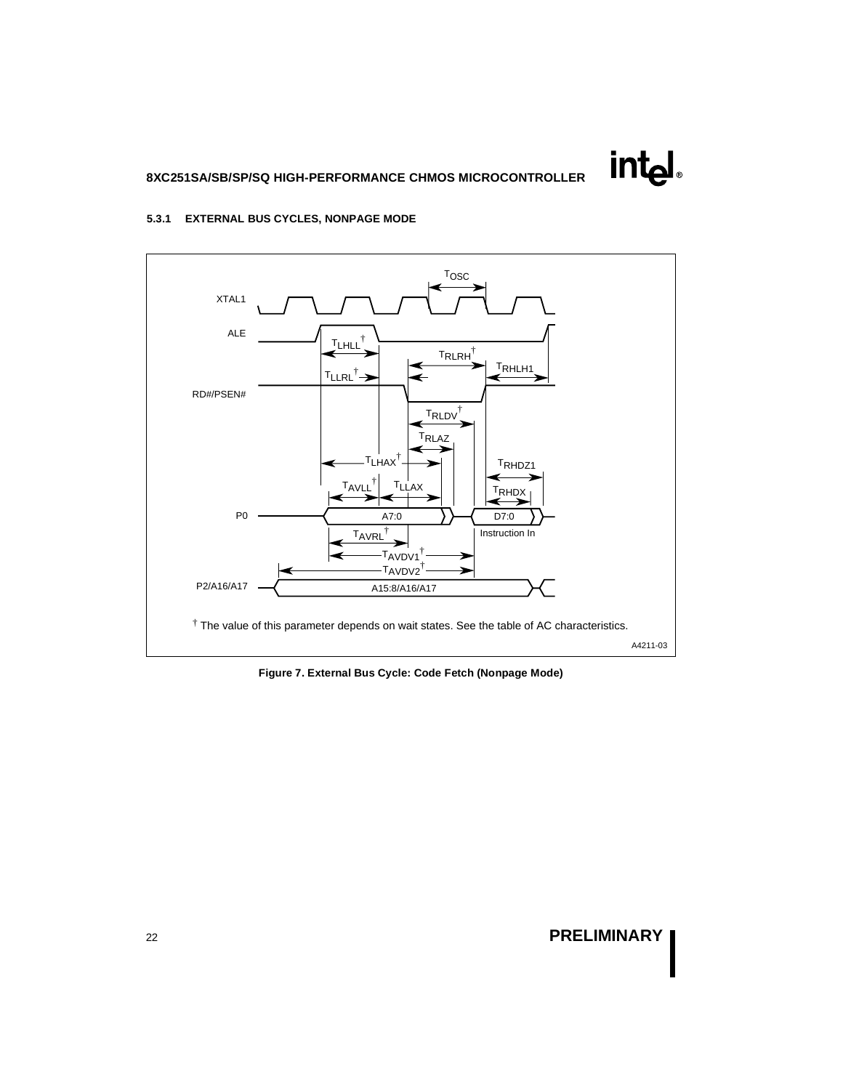**intel** 

### **5.3.1 EXTERNAL BUS CYCLES, NONPAGE MODE**



**Figure 7. External Bus Cycle: Code Fetch (Nonpage Mode)**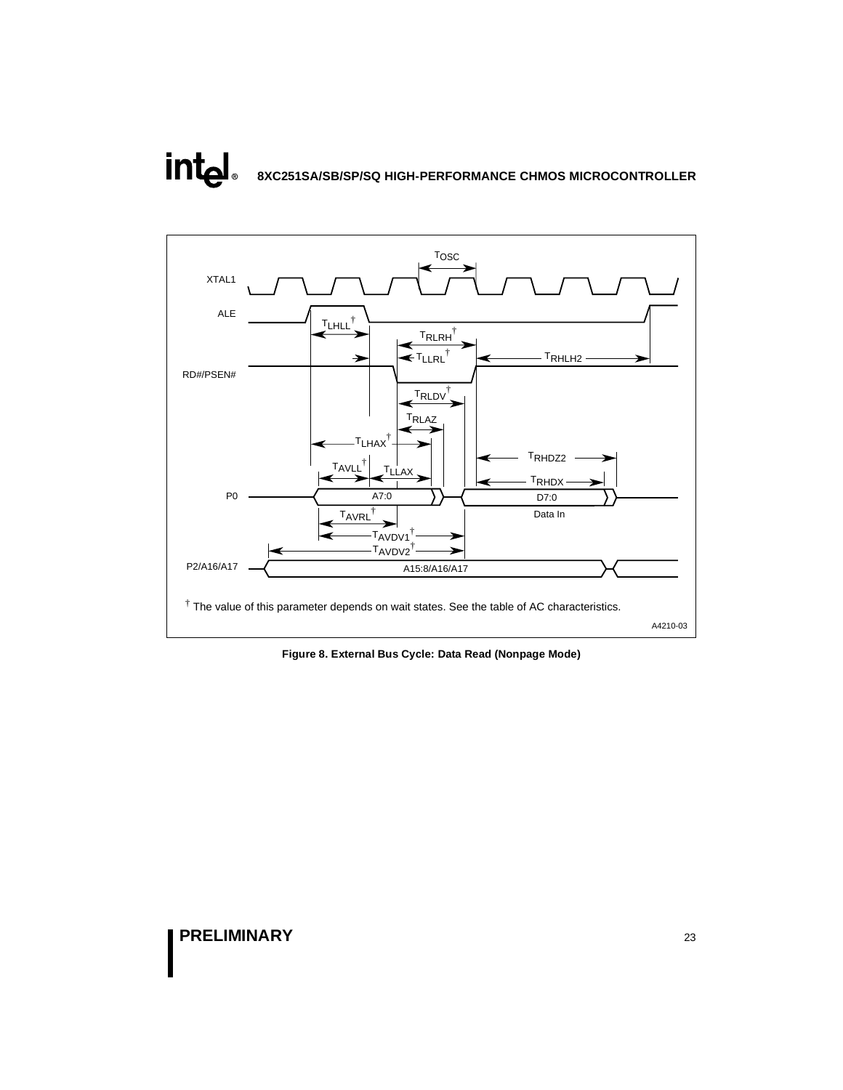# <span id="page-22-0"></span>**intal 8XC251SA/SB/SP/SQ HIGH-PERFORMANCE CHMOS MICROCONTROLLER**



**Figure 8. External Bus Cycle: Data Read (Nonpage Mode)**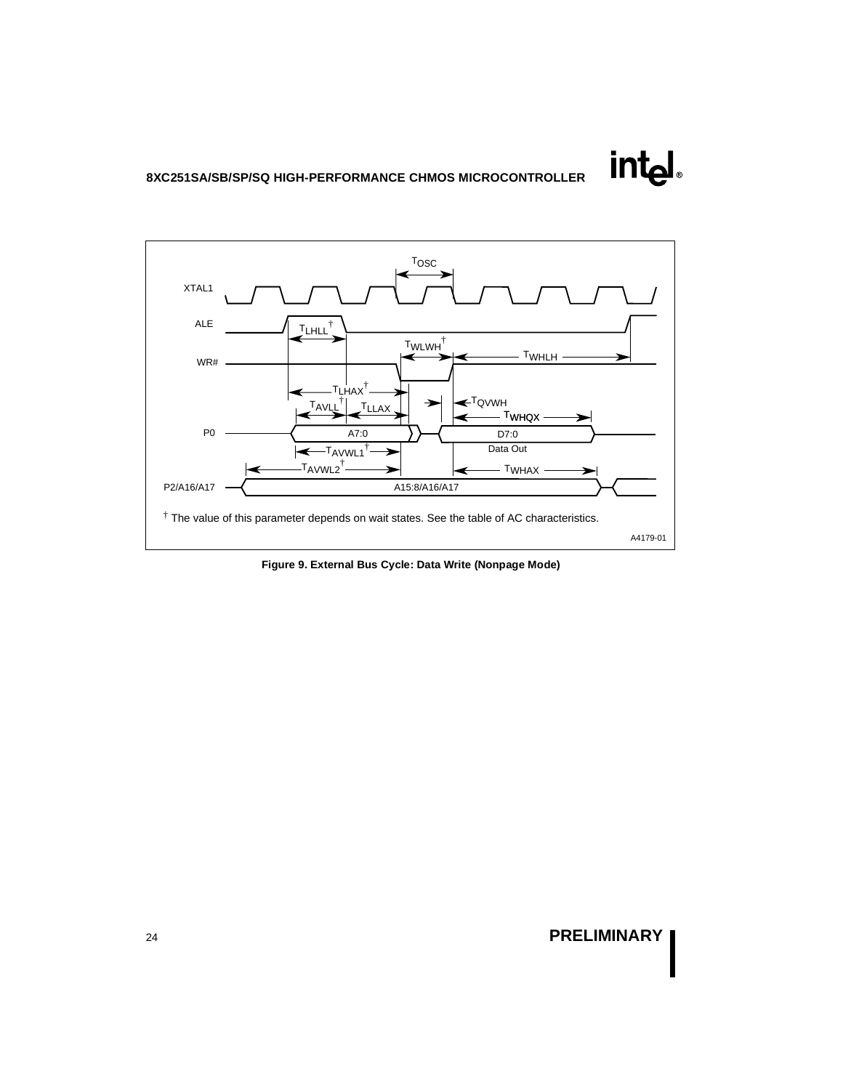

**Figure 9. External Bus Cycle: Data Write (Nonpage Mode)** 

# <sup>24</sup> **PRELIMINARY**

**intal**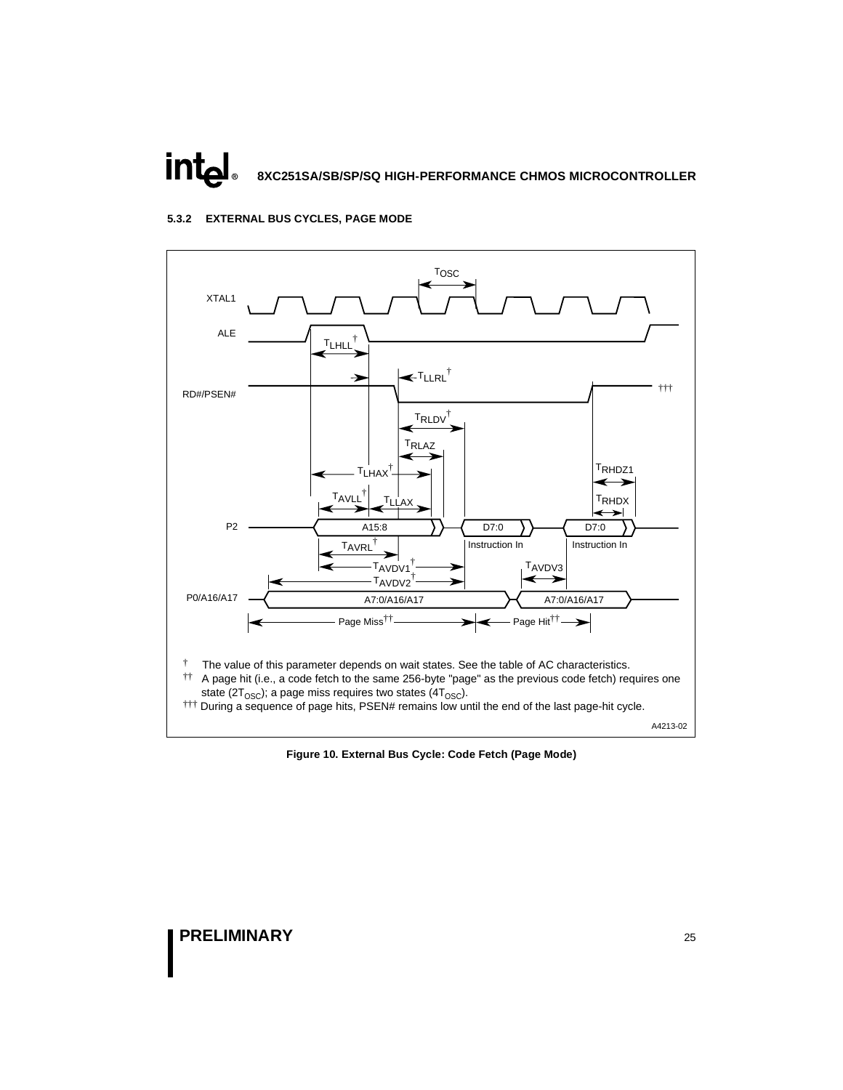# <span id="page-24-0"></span>intه**l 8XC251SA/SB/SP/SQ HIGH-PERFORMANCE CHMOS MICROCONTROLLER**

### **5.3.2 EXTERNAL BUS CYCLES, PAGE MODE**



**Figure 10. External Bus Cycle: Code Fetch (Page Mode)**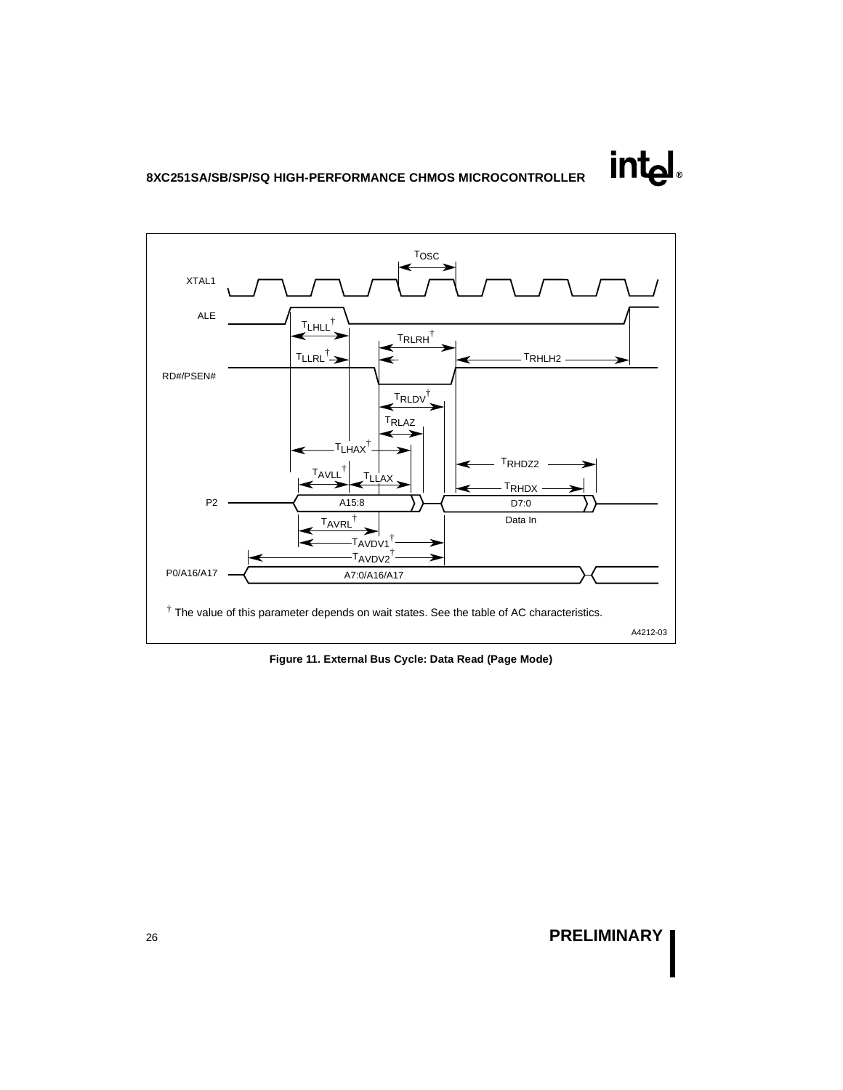

**Figure 11. External Bus Cycle: Data Read (Page Mode)** 

# <sup>26</sup> **PRELIMINARY**

**intal**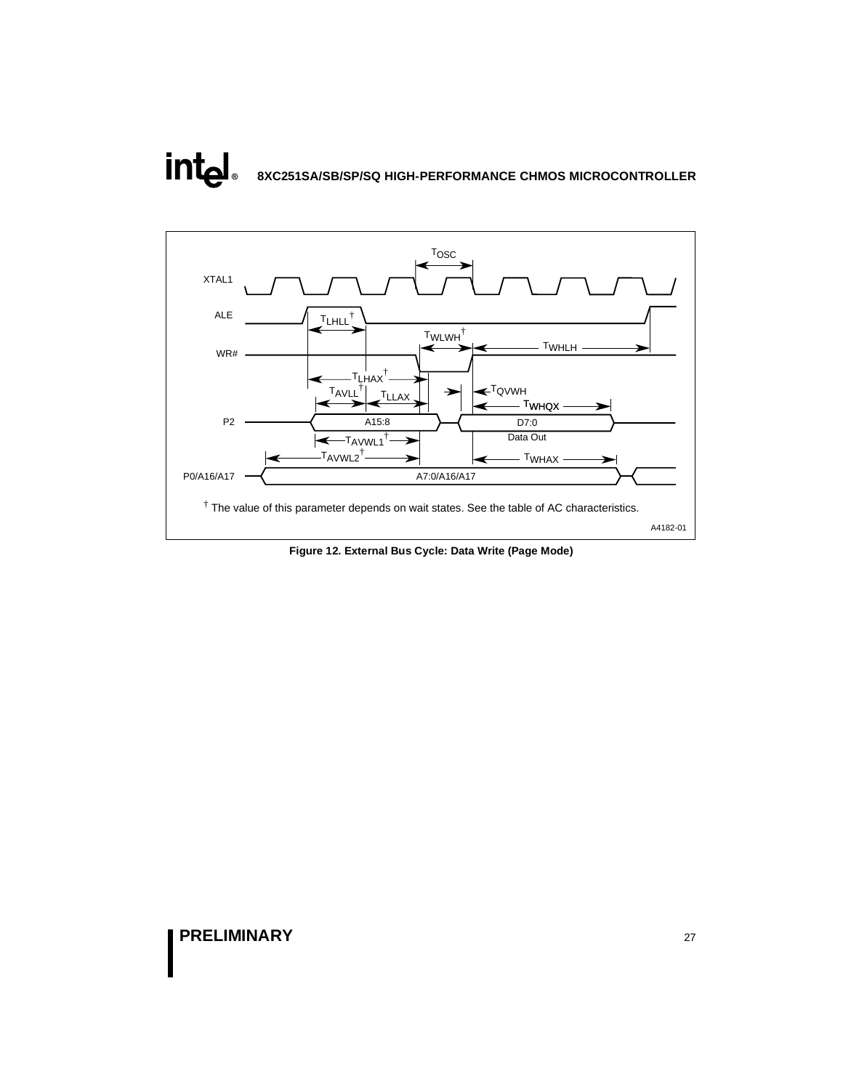# int<sub>el</sub> **8XC251SA/SB/SP/SQ HIGH-PERFORMANCE CHMOS MICROCONTROLLER**



**Figure 12. External Bus Cycle: Data Write (Page Mode)**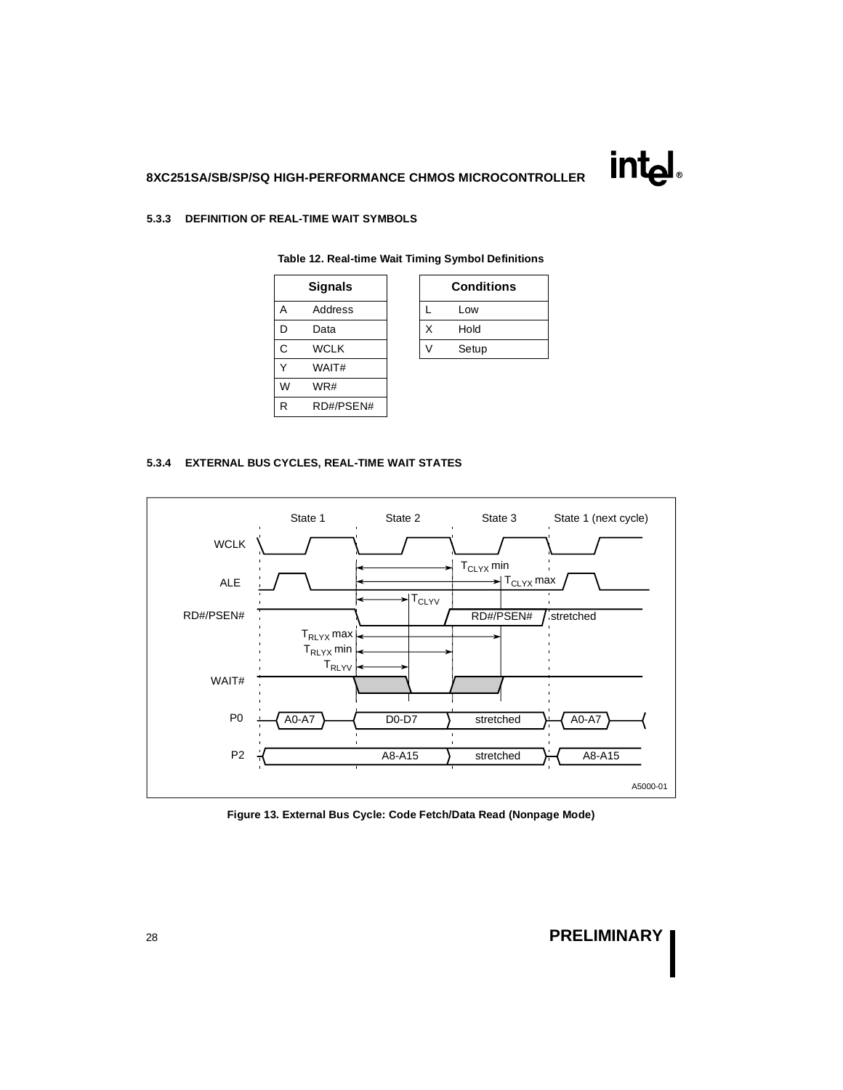#### **5.3.3 DEFINITION OF REAL-TIME WAIT SYMBOLS**

| <b>Signals</b> |   | Condi |
|----------------|---|-------|
| Address        |   | Low   |
| Data           | X | Hold  |
| <b>WCLK</b>    |   | Setup |
| WAIT#          |   |       |
| WR#            |   |       |
| RD#/PSEN#      |   |       |
|                |   |       |

| Signals     |  | <b>Conditions</b> |
|-------------|--|-------------------|
| Address     |  | Low               |
| Data        |  | Hold              |
| <b>WCLK</b> |  | Setup             |
|             |  |                   |

# **Table 12. Real-time Wait Timing Symbol Definitions**

#### **5.3.4 EXTERNAL BUS CYCLES, REAL-TIME WAIT STATES**



**Figure 13. External Bus Cycle: Code Fetch/Data Read (Nonpage Mode)**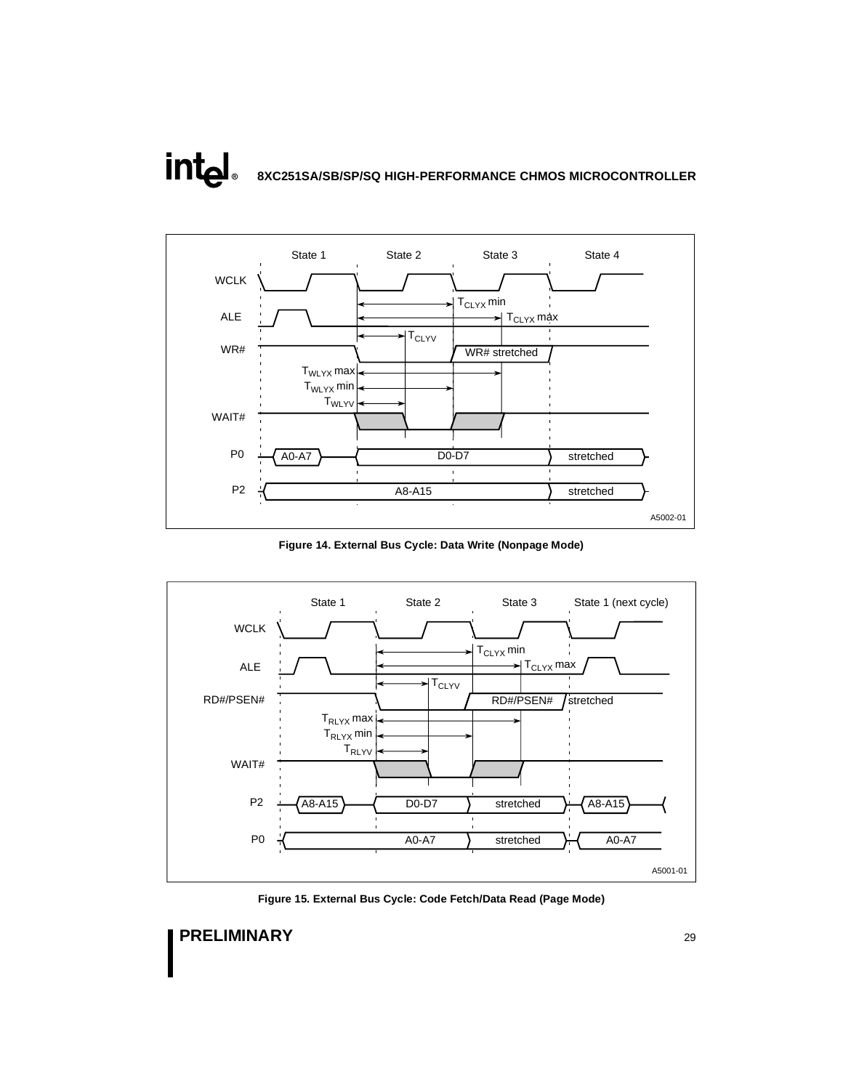# **intal 8XC251SA/SB/SP/SQ HIGH-PERFORMANCE CHMOS MICROCONTROLLER**



**Figure 14. External Bus Cycle: Data Write (Nonpage Mode)** 



**Figure 15. External Bus Cycle: Code Fetch/Data Read (Page Mode)**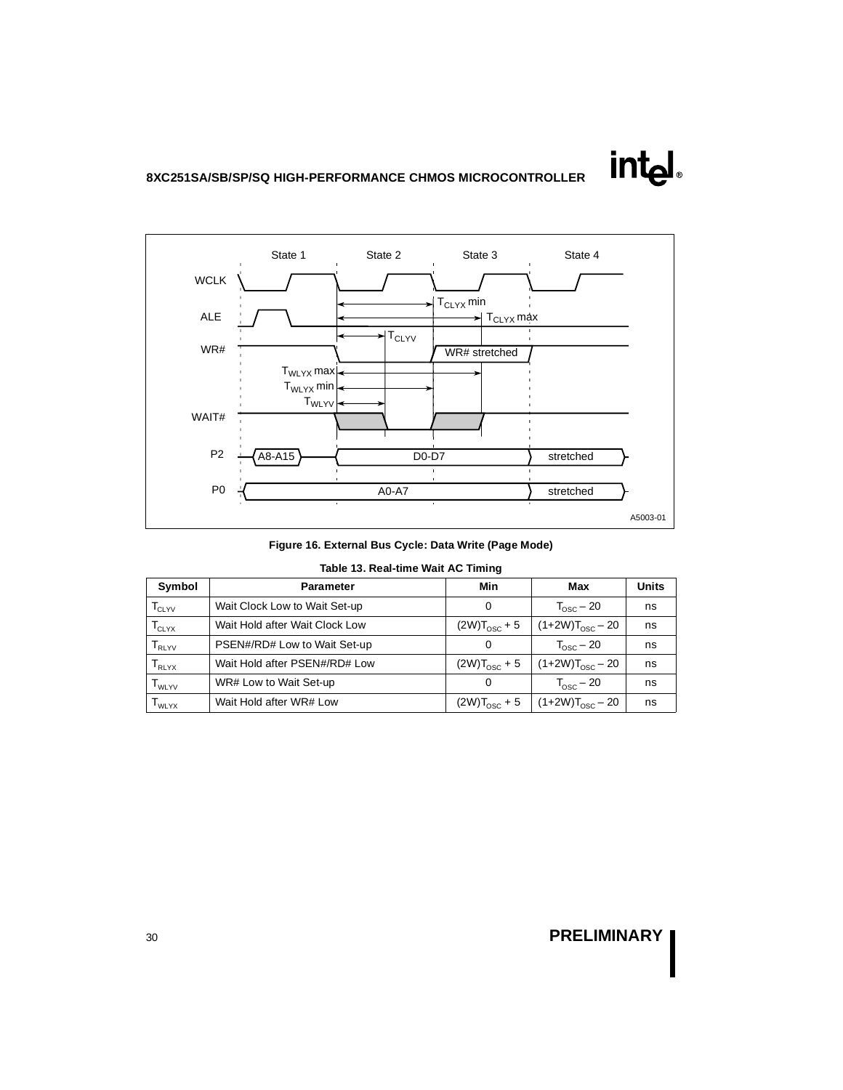

**Figure 16. External Bus Cycle: Data Write (Page Mode)** 

|  | Table 13. Real-time Wait AC Timing |  |  |  |
|--|------------------------------------|--|--|--|
|--|------------------------------------|--|--|--|

| Symbol                           | <b>Parameter</b>               | Min                      | Max                         | <b>Units</b> |
|----------------------------------|--------------------------------|--------------------------|-----------------------------|--------------|
| $T_{CLYV}$                       | Wait Clock Low to Wait Set-up  | 0                        | $T_{\text{osc}}$ – 20       | ns           |
| $\mathsf{T}_{\textnormal{CLYX}}$ | Wait Hold after Wait Clock Low | $(2W)T_{\text{osc}} + 5$ | $(1+2W)T_{\text{osc}} - 20$ | ns           |
| $\mathsf{T}_{\mathsf{RLYV}}$     | PSEN#/RD# Low to Wait Set-up   | 0                        | $T_{\text{osc}}$ – 20       | ns           |
| $\mathsf{T}_{\mathsf{RLYX}}$     | Wait Hold after PSEN#/RD# Low  | $(2W)T_{\text{osc}} + 5$ | $(1+2W)T_{\rm osc}$ – 20    | ns           |
| $\mathsf{T}_{\mathsf{WLYV}}$     | WR# Low to Wait Set-up         | 0                        | $T_{\text{osc}}$ – 20       | ns           |
| $\mathsf{T}_{\mathsf{WLYX}}$     | Wait Hold after WR# Low        | $(2W)T_{\text{osc}} + 5$ | $(1+2W)T_{\rm osc}$ – 20    | ns           |

# <sup>30</sup> **PRELIMINARY**

int<sub>el</sub>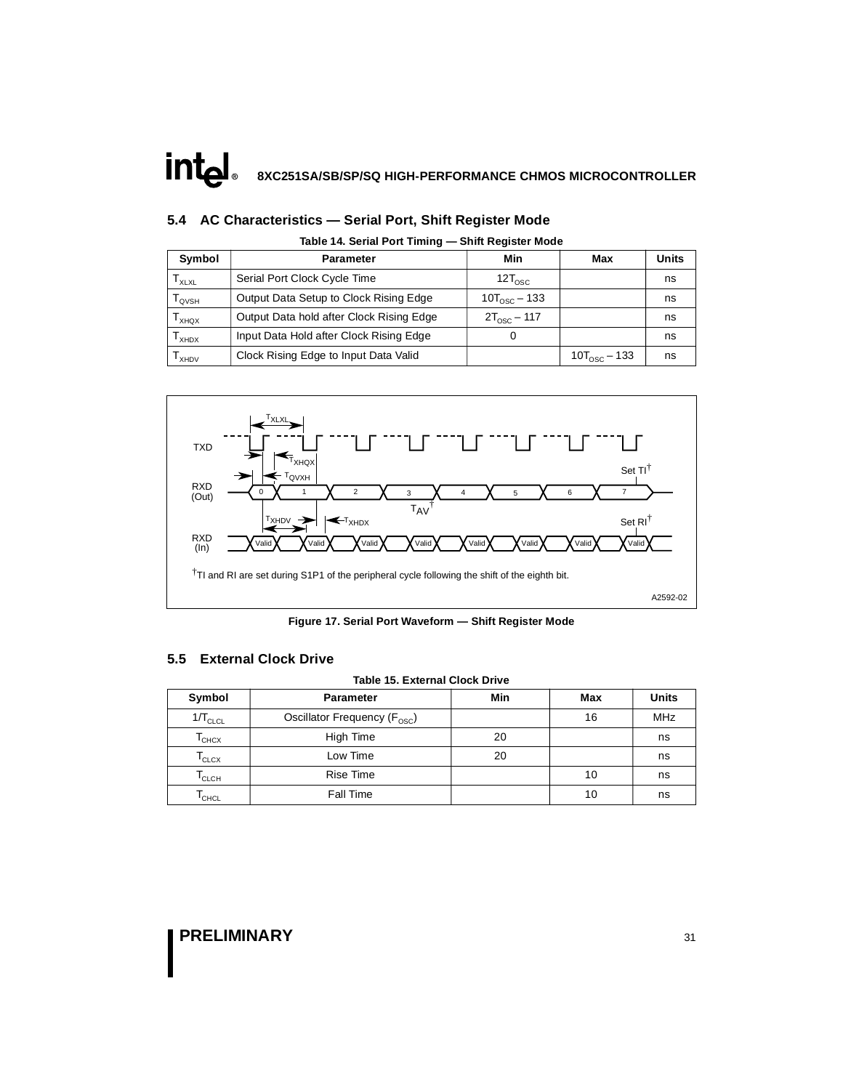### **5.4 AC Characteristics — Serial Port, Shift Register Mode**

| Symbol                       | <b>Parameter</b>                         | Min                      | Max                   | <b>Units</b> |
|------------------------------|------------------------------------------|--------------------------|-----------------------|--------------|
| $\mathsf{T}_{\mathsf{XLXL}}$ | Serial Port Clock Cycle Time             | $12T_{\text{osc}}$       |                       | ns           |
| Т <sub>оvsн</sub>            | Output Data Setup to Clock Rising Edge   | $10T_{\text{osc}} - 133$ |                       | ns           |
| <b>XHOX</b>                  | Output Data hold after Clock Rising Edge | $2T_{\text{osc}} - 117$  |                       | ns           |
| XHDX                         | Input Data Hold after Clock Rising Edge  |                          |                       | ns           |
| $I_{XHDV}$                   | Clock Rising Edge to Input Data Valid    |                          | $10T_{\rm osc}$ – 133 | ns           |

**Table 14. Serial Port Timing — Shift Register Mode** 



**Figure 17. Serial Port Waveform — Shift Register Mode** 

### **5.5 External Clock Drive**

#### **Table 15. External Clock Drive**

| Symbol                       | <b>Parameter</b>                         | Min | Max | <b>Units</b> |
|------------------------------|------------------------------------------|-----|-----|--------------|
| $1/T_{CLCL}$                 | Oscillator Frequency (F <sub>OSC</sub> ) |     | 16  | <b>MHz</b>   |
| $\mathsf{T}_{\mathsf{CHCX}}$ | High Time                                | 20  |     | ns           |
| $\mathsf{T}_{\texttt{CLCX}}$ | Low Time                                 | 20  |     | ns           |
| $\mathsf{T}_{\mathsf{CLCH}}$ | <b>Rise Time</b>                         |     | 10  | ns           |
| I <sub>CHCL</sub>            | <b>Fall Time</b>                         |     | 10  | ns           |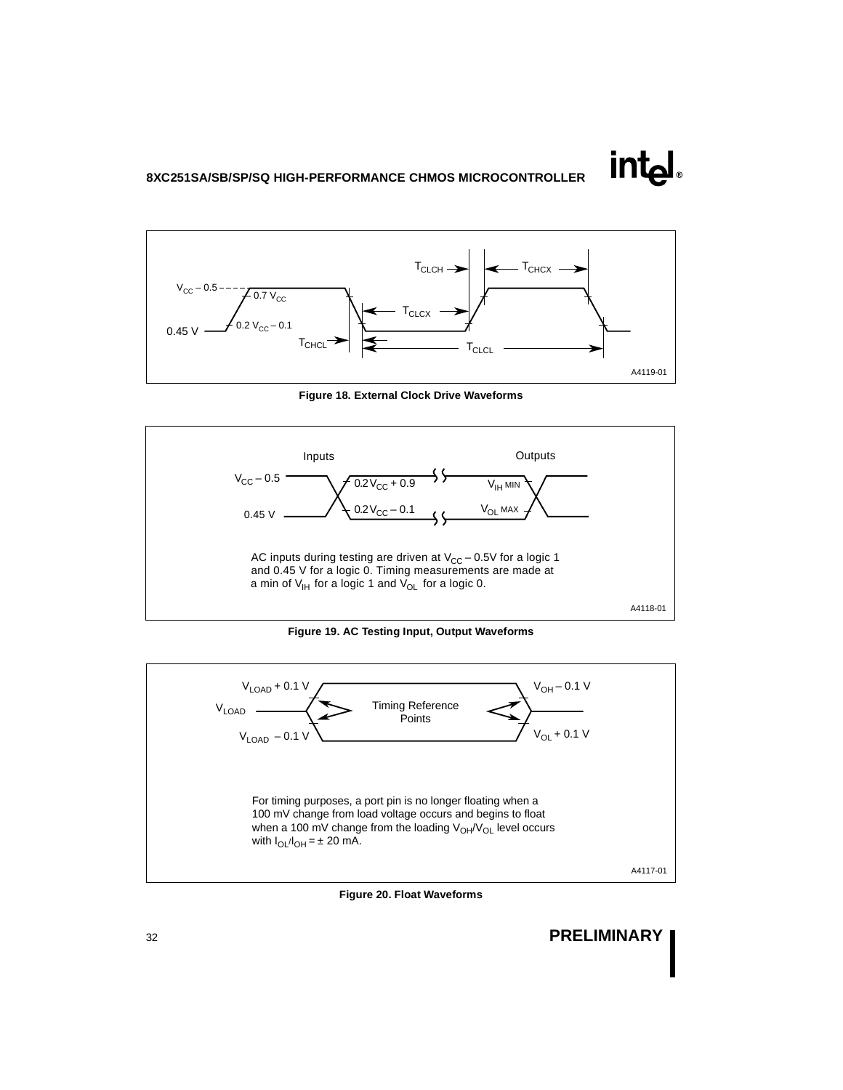

**Figure 18. External Clock Drive Waveforms** 



**Figure 19. AC Testing Input, Output Waveforms** 



**Figure 20. Float Waveforms**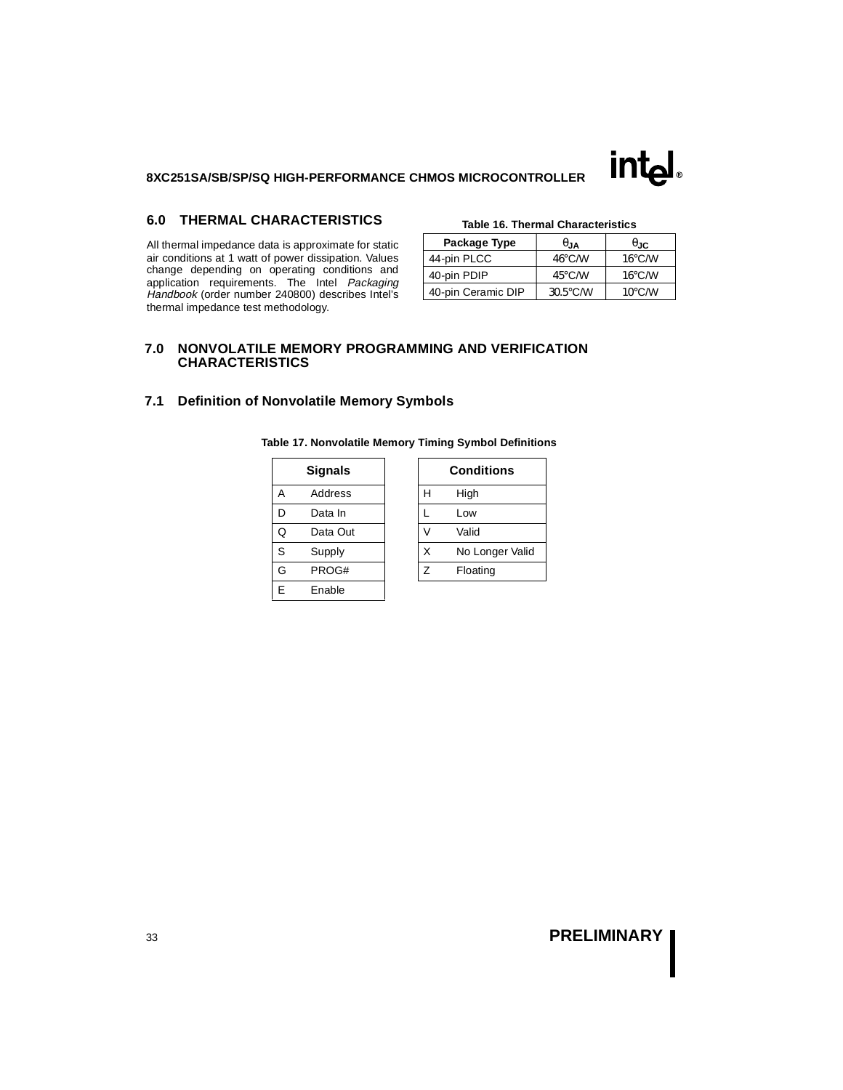

### **6.0 THERMAL CHARACTERISTICS**

All thermal impedance data is approximate for static air conditions at 1 watt of power dissipation. Values change depending on operating conditions and application requirements. The Intel Packaging Handbook (order number 240800) describes Intel's thermal impedance test methodology.

|  |  | Table 16. Thermal Characteristics |
|--|--|-----------------------------------|
|--|--|-----------------------------------|

| Package Type       | ∪.lA               | $\theta_{\rm JC}$ |
|--------------------|--------------------|-------------------|
| 44-pin PLCC        | $46^{\circ}$ C/W   | $16^{\circ}$ C/W  |
| 40-pin PDIP        | $45^{\circ}$ C/W   | $16^{\circ}$ C/W  |
| 40-pin Ceramic DIP | $30.5^{\circ}$ C/W | $10^{\circ}$ C/W  |

### **7.0 NONVOLATILE MEMORY PROGRAMMING AND VERIFICATION CHARACTERISTICS**

### **7.1 Definition of Nonvolatile Memory Symbols**

|   | <b>Signals</b> |   | Conditio |
|---|----------------|---|----------|
| Α | Address        | н | High     |
| D | Data In        |   | Low      |
| Q | Data Out       |   | Valid    |
| S | Supply         | X | No Long  |
| G | PROG#          | Z | Floating |
| E | Enable         |   |          |

| <b>Signals</b> |          | <b>Conditions</b> |                 |  |
|----------------|----------|-------------------|-----------------|--|
| А              | Address  | Н                 | High            |  |
| D              | Data In  |                   | Low             |  |
| Q              | Data Out |                   | Valid           |  |
| S              | Supply   | X                 | No Longer Valid |  |
| G              | PROG#    | 7                 | Floating        |  |

#### **Table 17. Nonvolatile Memory Timing Symbol Definitions**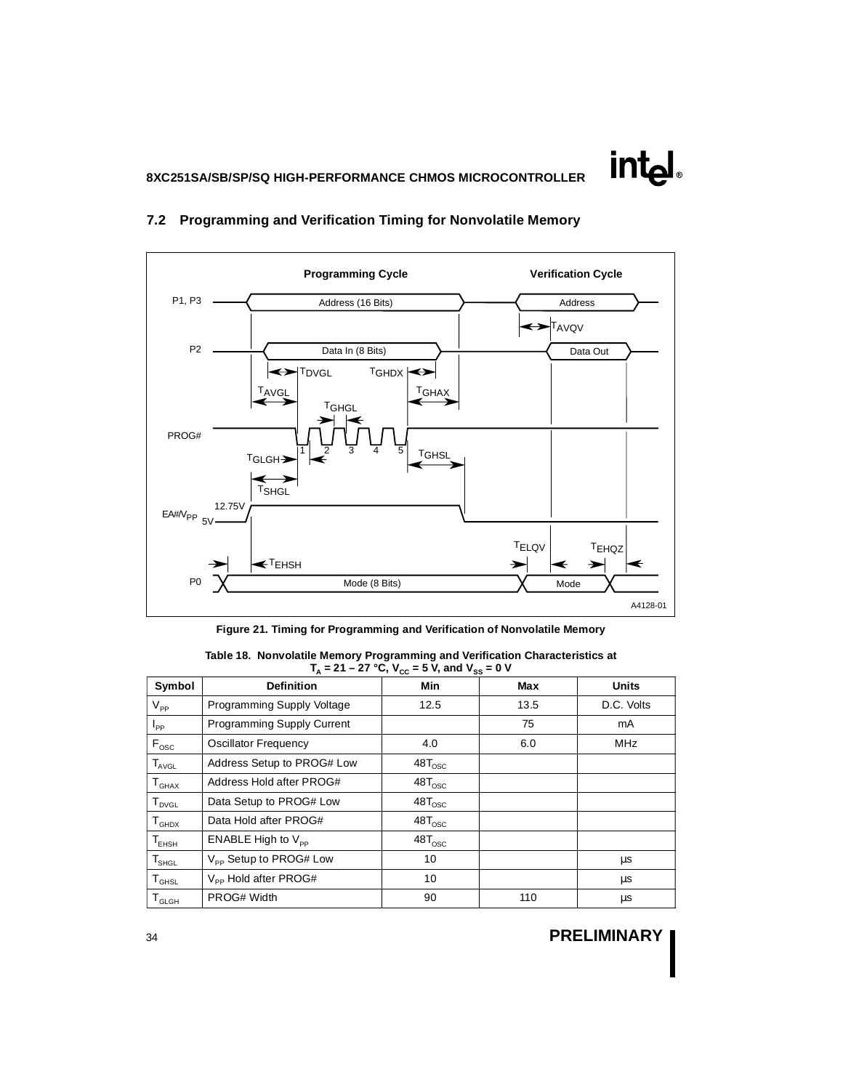

### **7.2 Programming and Verification Timing for Nonvolatile Memory**

**Figure 21. Timing for Programming and Verification of Nonvolatile Memory** 

| Symbol                                       | <b>Definition</b>                  | -, - 00<br>Min      | Max  | <b>Units</b> |
|----------------------------------------------|------------------------------------|---------------------|------|--------------|
| $V_{PP}$                                     | Programming Supply Voltage         | 12.5                | 13.5 | D.C. Volts   |
| $I_{PP}$                                     | <b>Programming Supply Current</b>  |                     | 75   | mA           |
| $F_{\rm osc}$                                | Oscillator Frequency               | 4.0                 | 6.0  | <b>MHz</b>   |
| $T_{AVGL}$                                   | Address Setup to PROG# Low         | $48$ T $_{\rm osc}$ |      |              |
| $T_{GHAX}$                                   | Address Hold after PROG#           | $48T_{\rm OSC}$     |      |              |
| ${\mathsf T}_{\operatorname{\mathsf{DVGL}}}$ | Data Setup to PROG# Low            | $48T_{\rm OSC}$     |      |              |
| ${\tt T}_{\scriptscriptstyle \textsf{GHDX}}$ | Data Hold after PROG#              | $48T_{\rm OSC}$     |      |              |
| $\mathsf{T}_{\mathsf{EHSH}}$                 | ENABLE High to $V_{\text{pp}}$     | $48$ T $_{\rm OSC}$ |      |              |
| $\mathsf{T}_{\mathsf{SHGL}}$                 | V <sub>PP</sub> Setup to PROG# Low | 10                  |      | μs           |
| ${\tt T}_{\tt GHSL}$                         | V <sub>pp</sub> Hold after PROG#   | 10                  |      | μs           |
| ${\tt T}_{\scriptscriptstyle \sf GLGH}$      | PROG# Width                        | 90                  | 110  | μs           |

| Table 18. Nonvolatile Memory Programming and Verification Characteristics at  |
|-------------------------------------------------------------------------------|
| $T_{\text{A}}$ = 21 – 27 °C, V <sub>cc</sub> = 5 V, and V <sub>ss</sub> = 0 V |

# <sup>34</sup> **PRELIMINARY**

**intel**